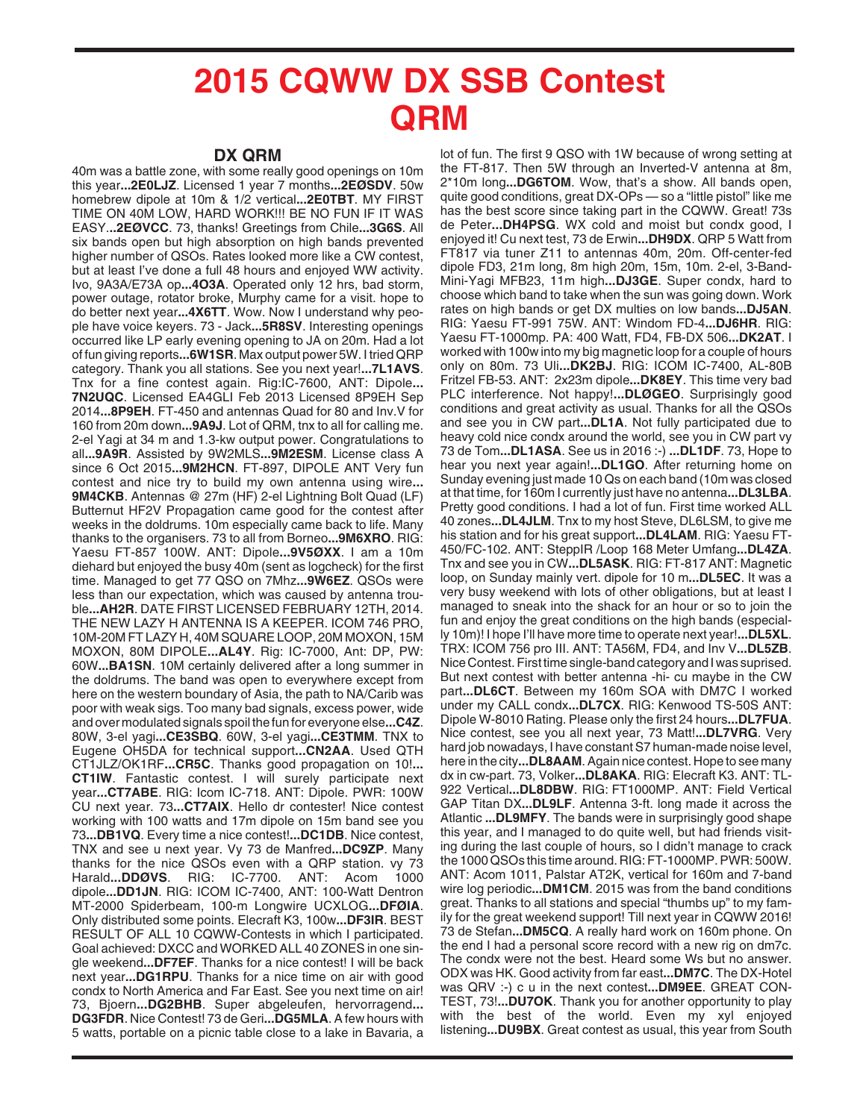## **2015 CQWW DX SSB Contest QRM**

## **DX QRM**

40m was a battle zone, with some really good openings on 10m this year**...2E0LJZ**. Licensed 1 year 7 months**...2EØSDV**. 50w homebrew dipole at 10m & 1/2 vertical**...2E0TBT**. MY FIRST TIME ON 40M LOW, HARD WORK!!! BE NO FUN IF IT WAS EASY.**..2EØVCC**. 73, thanks! Greetings from Chile**...3G6S**. All six bands open but high absorption on high bands prevented higher number of QSOs. Rates looked more like a CW contest, but at least I've done a full 48 hours and enjoyed WW activity. Ivo, 9A3A/E73A op**...4O3A**. Operated only 12 hrs, bad storm, power outage, rotator broke, Murphy came for a visit. hope to do better next year**...4X6TT**. Wow. Now I understand why people have voice keyers. 73 - Jack**...5R8SV**. Interesting openings occurred like LP early evening opening to JA on 20m. Had a lot of fun giving reports**...6W1SR**. Max output power 5W. I tried QRP category. Thank you all stations. See you next year!**...7L1AVS**. Tnx for a fine contest again. Rig:IC-7600, ANT: Dipole**... 7N2UQC**. Licensed EA4GLI Feb 2013 Licensed 8P9EH Sep 2014**...8P9EH**. FT-450 and antennas Quad for 80 and Inv.V for 160 from 20m down**...9A9J**. Lot of QRM, tnx to all for calling me. 2-el Yagi at 34 m and 1.3-kw output power. Congratulations to all**...9A9R**. Assisted by 9W2MLS**...9M2ESM**. License class A since 6 Oct 2015**...9M2HCN**. FT-897, DIPOLE ANT Very fun contest and nice try to build my own antenna using wire**... 9M4CKB**. Antennas @ 27m (HF) 2-el Lightning Bolt Quad (LF) Butternut HF2V Propagation came good for the contest after weeks in the doldrums. 10m especially came back to life. Many thanks to the organisers. 73 to all from Borneo**...9M6XRO**. RIG: Yaesu FT-857 100W. ANT: Dipole**...9V5ØXX**. I am a 10m diehard but enjoyed the busy 40m (sent as logcheck) for the first time. Managed to get 77 QSO on 7Mhz**...9W6EZ**. QSOs were less than our expectation, which was caused by antenna trouble**...AH2R**. DATE FIRST LICENSED FEBRUARY 12TH, 2014. THE NEW LAZY H ANTENNA IS A KEEPER. ICOM 746 PRO, 10M-20M FT LAZY H, 40M SQUARE LOOP, 20M MOXON, 15M MOXON, 80M DIPOLE**...AL4Y**. Rig: IC-7000, Ant: DP, PW: 60W**...BA1SN**. 10M certainly delivered after a long summer in the doldrums. The band was open to everywhere except from here on the western boundary of Asia, the path to NA/Carib was poor with weak sigs. Too many bad signals, excess power, wide and over modulated signals spoil the fun for everyone else**...C4Z**. 80W, 3-el yagi**...CE3SBQ**. 60W, 3-el yagi**...CE3TMM**. TNX to Eugene OH5DA for technical support**...CN2AA**. Used QTH CT1JLZ/OK1RF**...CR5C**. Thanks good propagation on 10!**... CT1IW**. Fantastic contest. I will surely participate next year**...CT7ABE**. RIG: Icom IC-718. ANT: Dipole. PWR: 100W CU next year. 73**...CT7AIX**. Hello dr contester! Nice contest working with 100 watts and 17m dipole on 15m band see you 73**...DB1VQ**. Every time a nice contest!**...DC1DB**. Nice contest, TNX and see u next year. Vy 73 de Manfred**...DC9ZP**. Many thanks for the nice QSOs even with a QRP station. vy 73 Harald**...DDØVS**. RIG: IC-7700. ANT: Acom 1000 dipole**...DD1JN**. RIG: ICOM IC-7400, ANT: 100-Watt Dentron MT-2000 Spiderbeam, 100-m Longwire UCXLOG**...DFØIA**. Only distributed some points. Elecraft K3, 100w**...DF3IR**. BEST RESULT OF ALL 10 CQWW-Contests in which I participated. Goal achieved: DXCC and WORKED ALL 40 ZONES in one single weekend**...DF7EF**. Thanks for a nice contest! I will be back next year**...DG1RPU**. Thanks for a nice time on air with good condx to North America and Far East. See you next time on air! 73, Bjoern**...DG2BHB**. Super abgeleufen, hervorragend**... DG3FDR**. Nice Contest! 73 de Geri**...DG5MLA**. A few hours with 5 watts, portable on a picnic table close to a lake in Bavaria, a

lot of fun. The first 9 QSO with 1W because of wrong setting at the FT-817. Then 5W through an Inverted-V antenna at 8m, 2\*10m long**...DG6TOM**. Wow, that's a show. All bands open, quite good conditions, great DX-OPs — so a "little pistol" like me has the best score since taking part in the CQWW. Great! 73s de Peter**...DH4PSG**. WX cold and moist but condx good, I enjoyed it! Cu next test, 73 de Erwin**...DH9DX**. QRP 5 Watt from FT817 via tuner Z11 to antennas 40m, 20m. Off-center-fed dipole FD3, 21m long, 8m high 20m, 15m, 10m. 2-el, 3-Band-Mini-Yagi MFB23, 11m high**...DJ3GE**. Super condx, hard to choose which band to take when the sun was going down. Work rates on high bands or get DX multies on low bands**...DJ5AN**. RIG: Yaesu FT-991 75W. ANT: Windom FD-4**...DJ6HR**. RIG: Yaesu FT-1000mp. PA: 400 Watt, FD4, FB-DX 506**...DK2AT**. I worked with 100w into my big magnetic loop for a couple of hours only on 80m. 73 Uli**...DK2BJ**. RIG: ICOM IC-7400, AL-80B Fritzel FB-53. ANT: 2x23m dipole**...DK8EY**. This time very bad PLC interference. Not happy!**...DLØGEO**. Surprisingly good conditions and great activity as usual. Thanks for all the QSOs and see you in CW part**...DL1A**. Not fully participated due to heavy cold nice condx around the world, see you in CW part vy 73 de Tom**...DL1ASA**. See us in 2016 :-) **...DL1DF**. 73, Hope to hear you next year again!**...DL1GO**. After returning home on Sunday evening just made 10 Qs on each band (10m was closed at that time, for 160m I currently just have no antenna**...DL3LBA**. Pretty good conditions. I had a lot of fun. First time worked ALL 40 zones**...DL4JLM**. Tnx to my host Steve, DL6LSM, to give me his station and for his great support**...DL4LAM**. RIG: Yaesu FT-450/FC-102. ANT: SteppIR /Loop 168 Meter Umfang**...DL4ZA**. Tnx and see you in CW**...DL5ASK**. RIG: FT-817 ANT: Magnetic loop, on Sunday mainly vert. dipole for 10 m**...DL5EC**. It was a very busy weekend with lots of other obligations, but at least I managed to sneak into the shack for an hour or so to join the fun and enjoy the great conditions on the high bands (especially 10m)! I hope I'll have more time to operate next year!**...DL5XL**. TRX: ICOM 756 pro III. ANT: TA56M, FD4, and Inv V**...DL5ZB**. Nice Contest. First time single-band category and I was suprised. But next contest with better antenna -hi- cu maybe in the CW part**...DL6CT**. Between my 160m SOA with DM7C I worked under my CALL condx**...DL7CX**. RIG: Kenwood TS-50S ANT: Dipole W-8010 Rating. Please only the first 24 hours**...DL7FUA**. Nice contest, see you all next year, 73 Matt!**...DL7VRG**. Very hard job nowadays, I have constant S7 human-made noise level, here in the city**...DL8AAM**. Again nice contest. Hope to see many dx in cw-part. 73, Volker**...DL8AKA**. RIG: Elecraft K3. ANT: TL-922 Vertical**...DL8DBW**. RIG: FT1000MP. ANT: Field Vertical GAP Titan DX**...DL9LF**. Antenna 3-ft. long made it across the Atlantic **...DL9MFY**. The bands were in surprisingly good shape this year, and I managed to do quite well, but had friends visiting during the last couple of hours, so I didn't manage to crack the 1000 QSOs this time around. RIG: FT-1000MP. PWR: 500W. ANT: Acom 1011, Palstar AT2K, vertical for 160m and 7-band wire log periodic**...DM1CM**. 2015 was from the band conditions great. Thanks to all stations and special "thumbs up" to my family for the great weekend support! Till next year in CQWW 2016! 73 de Stefan**...DM5CQ**. A really hard work on 160m phone. On the end I had a personal score record with a new rig on dm7c. The condx were not the best. Heard some Ws but no answer. ODX was HK. Good activity from far east**...DM7C**. The DX-Hotel was QRV :-) c u in the next contest**...DM9EE**. GREAT CON-TEST, 73!**...DU7OK**. Thank you for another opportunity to play with the best of the world. Even my xyl enjoyed listening**...DU9BX**. Great contest as usual, this year from South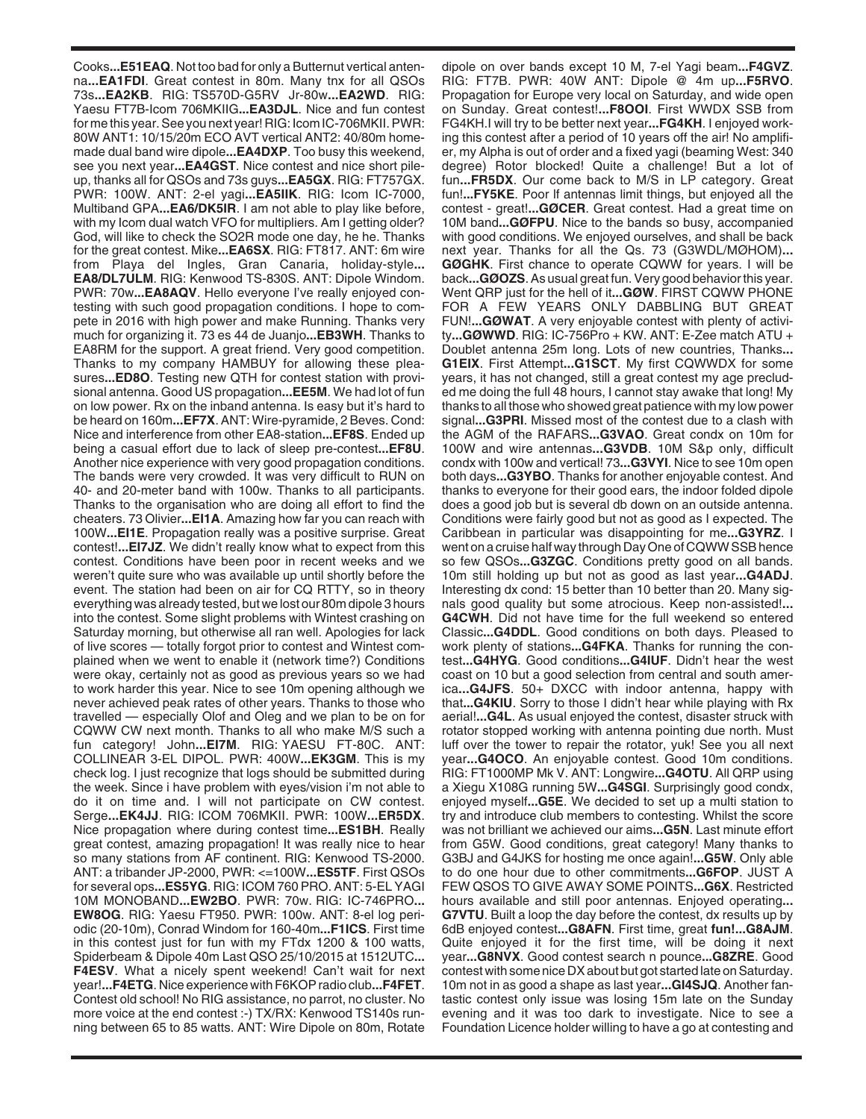Cooks**...E51EAQ**. Not too bad for only a Butternut vertical antenna**...EA1FDI**. Great contest in 80m. Many tnx for all QSOs 73s**...EA2KB**. RIG: TS570D-G5RV Jr-80w**...EA2WD**. RIG: Yaesu FT7B-Icom 706MKIIG**...EA3DJL**. Nice and fun contest for me this year. See you next year! RIG: Icom IC-706MKII. PWR: 80W ANT1: 10/15/20m ECO AVT vertical ANT2: 40/80m homemade dual band wire dipole**...EA4DXP**. Too busy this weekend, see you next year**...EA4GST**. Nice contest and nice short pileup, thanks all for QSOs and 73s guys**...EA5GX**. RIG: FT757GX. PWR: 100W. ANT: 2-el yagi**...EA5IIK**. RIG: Icom IC-7000, Multiband GPA**...EA6/DK5IR**. I am not able to play like before, with my Icom dual watch VFO for multipliers. Am I getting older? God, will like to check the SO2R mode one day, he he. Thanks for the great contest. Mike**...EA6SX**. RIG: FT817. ANT: 6m wire from Playa del Ingles, Gran Canaria, holiday-style**... EA8/DL7ULM**. RIG: Kenwood TS-830S. ANT: Dipole Windom. PWR: 70w**...EA8AQV**. Hello everyone I've really enjoyed contesting with such good propagation conditions. I hope to compete in 2016 with high power and make Running. Thanks very much for organizing it. 73 es 44 de Juanjo**...EB3WH**. Thanks to EA8RM for the support. A great friend. Very good competition. Thanks to my company HAMBUY for allowing these pleasures**...ED8O**. Testing new QTH for contest station with provisional antenna. Good US propagation**...EE5M**. We had lot of fun on low power. Rx on the inband antenna. Is easy but it's hard to be heard on 160m**...EF7X**. ANT: Wire-pyramide, 2 Beves. Cond: Nice and interference from other EA8-station**...EF8S**. Ended up being a casual effort due to lack of sleep pre-contest**...EF8U**. Another nice experience with very good propagation conditions. The bands were very crowded. It was very difficult to RUN on 40- and 20-meter band with 100w. Thanks to all participants. Thanks to the organisation who are doing all effort to find the cheaters. 73 Olivier**...EI1A**. Amazing how far you can reach with 100W**...EI1E**. Propagation really was a positive surprise. Great contest!**...EI7JZ**. We didn't really know what to expect from this contest. Conditions have been poor in recent weeks and we weren't quite sure who was available up until shortly before the event. The station had been on air for CQ RTTY, so in theory everything was already tested, but we lost our 80m dipole 3 hours into the contest. Some slight problems with Wintest crashing on Saturday morning, but otherwise all ran well. Apologies for lack of live scores — totally forgot prior to contest and Wintest complained when we went to enable it (network time?) Conditions were okay, certainly not as good as previous years so we had to work harder this year. Nice to see 10m opening although we never achieved peak rates of other years. Thanks to those who travelled — especially Olof and Oleg and we plan to be on for CQWW CW next month. Thanks to all who make M/S such a fun category! John**...EI7M**. RIG: YAESU FT-80C. ANT: COLLINEAR 3-EL DIPOL. PWR: 400W**...EK3GM**. This is my check log. I just recognize that logs should be submitted during the week. Since i have problem with eyes/vision i'm not able to do it on time and. I will not participate on CW contest. Serge**...EK4JJ**. RIG: ICOM 706MKII. PWR: 100W**...ER5DX**. Nice propagation where during contest time**...ES1BH**. Really great contest, amazing propagation! It was really nice to hear so many stations from AF continent. RIG: Kenwood TS-2000. ANT: a tribander JP-2000, PWR: <=100W**...ES5TF**. First QSOs for several ops**...ES5YG**. RIG: ICOM 760 PRO. ANT: 5-EL YAGI 10M MONOBAND**...EW2BO**. PWR: 70w. RIG: IC-746PRO**... EW8OG**. RIG: Yaesu FT950. PWR: 100w. ANT: 8-el log periodic (20-10m), Conrad Windom for 160-40m**...F1ICS**. First time in this contest just for fun with my FTdx 1200 & 100 watts, Spiderbeam & Dipole 40m Last QSO 25/10/2015 at 1512UTC**... F4ESV**. What a nicely spent weekend! Can't wait for next year!**...F4ETG**. Nice experience with F6KOP radio club**...F4FET**. Contest old school! No RIG assistance, no parrot, no cluster. No more voice at the end contest :-) TX/RX: Kenwood TS140s running between 65 to 85 watts. ANT: Wire Dipole on 80m, Rotate

dipole on over bands except 10 M, 7-el Yagi beam**...F4GVZ**. RIG: FT7B. PWR: 40W ANT: Dipole @ 4m up**...F5RVO**. Propagation for Europe very local on Saturday, and wide open on Sunday. Great contest!**...F8OOI**. First WWDX SSB from FG4KH.I will try to be better next year**...FG4KH**. I enjoyed working this contest after a period of 10 years off the air! No amplifier, my Alpha is out of order and a fixed yagi (beaming West: 340 degree) Rotor blocked! Quite a challenge! But a lot of fun...FR5DX. Our come back to M/S in LP category. Great fun!**...FY5KE**. Poor lf antennas limit things, but enjoyed all the contest - great!**...GØCER**. Great contest. Had a great time on 10M band**...GØFPU**. Nice to the bands so busy, accompanied with good conditions. We enjoyed ourselves, and shall be back next year. Thanks for all the Qs. 73 (G3WDL/MØHOM)**... GØGHK**. First chance to operate CQWW for years. I will be back**...GØOZS**. As usual great fun. Very good behavior this year. Went QRP just for the hell of it**...GØW**. FIRST CQWW PHONE FOR A FEW YEARS ONLY DABBLING BUT GREAT FUN!**...GØWAT**. A very enjoyable contest with plenty of activity**...GØWWD**. RIG: IC-756Pro + KW. ANT: E-Zee match ATU + Doublet antenna 25m long. Lots of new countries, Thanks**... G1EIX**. First Attempt**...G1SCT**. My first CQWWDX for some years, it has not changed, still a great contest my age precluded me doing the full 48 hours, I cannot stay awake that long! My thanks to all those who showed great patience with my low power signal**...G3PRI**. Missed most of the contest due to a clash with the AGM of the RAFARS**...G3VAO**. Great condx on 10m for 100W and wire antennas**...G3VDB**. 10M S&p only, difficult condx with 100w and vertical! 73**...G3VYI**. Nice to see 10m open both days**...G3YBO**. Thanks for another enjoyable contest. And thanks to everyone for their good ears, the indoor folded dipole does a good job but is several db down on an outside antenna. Conditions were fairly good but not as good as I expected. The Caribbean in particular was disappointing for me**...G3YRZ**. I went on a cruise half way through Day One of CQWW SSB hence so few QSOs**...G3ZGC**. Conditions pretty good on all bands. 10m still holding up but not as good as last year**...G4ADJ**. Interesting dx cond: 15 better than 10 better than 20. Many signals good quality but some atrocious. Keep non-assisted!**... G4CWH**. Did not have time for the full weekend so entered Classic**...G4DDL**. Good conditions on both days. Pleased to work plenty of stations**...G4FKA**. Thanks for running the contest**...G4HYG**. Good conditions**...G4IUF**. Didn't hear the west coast on 10 but a good selection from central and south america**...G4JFS**. 50+ DXCC with indoor antenna, happy with that**...G4KIU**. Sorry to those I didn't hear while playing with Rx aerial!**...G4L**. As usual enjoyed the contest, disaster struck with rotator stopped working with antenna pointing due north. Must luff over the tower to repair the rotator, yuk! See you all next year**...G4OCO**. An enjoyable contest. Good 10m conditions. RIG: FT1000MP Mk V. ANT: Longwire**...G4OTU**. All QRP using a Xiegu X108G running 5W**...G4SGI**. Surprisingly good condx, enjoyed myself**...G5E**. We decided to set up a multi station to try and introduce club members to contesting. Whilst the score was not brilliant we achieved our aims**...G5N**. Last minute effort from G5W. Good conditions, great category! Many thanks to G3BJ and G4JKS for hosting me once again!**...G5W**. Only able to do one hour due to other commitments**...G6FOP**. JUST A FEW QSOS TO GIVE AWAY SOME POINTS**...G6X**. Restricted hours available and still poor antennas. Enjoyed operating**... G7VTU**. Built a loop the day before the contest, dx results up by 6dB enjoyed contest**...G8AFN**. First time, great **fun!...G8AJM**. Quite enjoyed it for the first time, will be doing it next year**...G8NVX**. Good contest search n pounce**...G8ZRE**. Good contest with some nice DX about but got started late on Saturday. 10m not in as good a shape as last year**...GI4SJQ**. Another fantastic contest only issue was losing 15m late on the Sunday evening and it was too dark to investigate. Nice to see a Foundation Licence holder willing to have a go at contesting and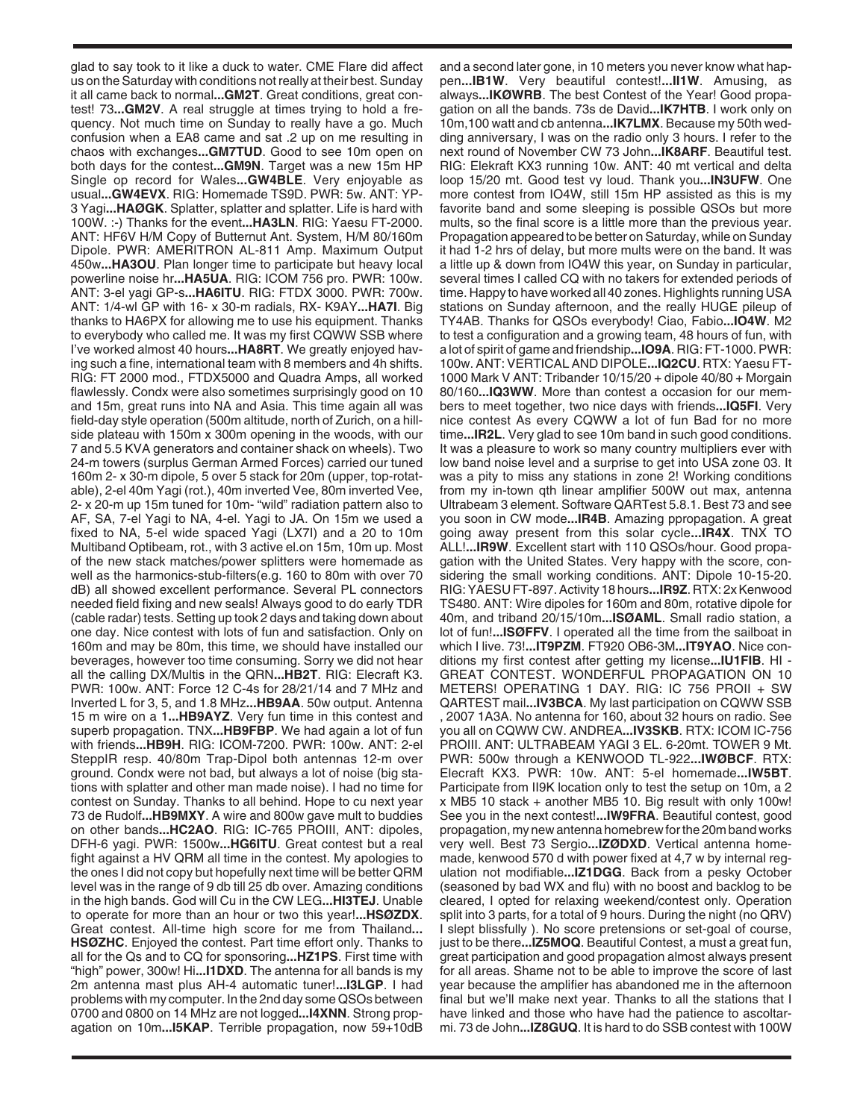glad to say took to it like a duck to water. CME Flare did affect us on the Saturday with conditions not really at their best. Sunday it all came back to normal**...GM2T**. Great conditions, great contest! 73**...GM2V**. A real struggle at times trying to hold a frequency. Not much time on Sunday to really have a go. Much confusion when a EA8 came and sat .2 up on me resulting in chaos with exchanges**...GM7TUD**. Good to see 10m open on both days for the contest**...GM9N**. Target was a new 15m HP Single op record for Wales**...GW4BLE**. Very enjoyable as usual**...GW4EVX**. RIG: Homemade TS9D. PWR: 5w. ANT: YP-3 Yagi**...HAØGK**. Splatter, splatter and splatter. Life is hard with 100W. :-) Thanks for the event**...HA3LN**. RIG: Yaesu FT-2000. ANT: HF6V H/M Copy of Butternut Ant. System, H/M 80/160m Dipole. PWR: AMERITRON AL-811 Amp. Maximum Output 450w**...HA3OU**. Plan longer time to participate but heavy local powerline noise hr**...HA5UA**. RIG: ICOM 756 pro. PWR: 100w. ANT: 3-el yagi GP-s**...HA6ITU**. RIG: FTDX 3000. PWR: 700w. ANT: 1/4-wl GP with 16- x 30-m radials, RX- K9AY**...HA7I**. Big thanks to HA6PX for allowing me to use his equipment. Thanks to everybody who called me. It was my first CQWW SSB where I've worked almost 40 hours**...HA8RT**. We greatly enjoyed having such a fine, international team with 8 members and 4h shifts. RIG: FT 2000 mod., FTDX5000 and Quadra Amps, all worked flawlessly. Condx were also sometimes surprisingly good on 10 and 15m, great runs into NA and Asia. This time again all was field-day style operation (500m altitude, north of Zurich, on a hillside plateau with 150m x 300m opening in the woods, with our 7 and 5.5 KVA generators and container shack on wheels). Two 24-m towers (surplus German Armed Forces) carried our tuned 160m 2- x 30-m dipole, 5 over 5 stack for 20m (upper, top-rotatable), 2-el 40m Yagi (rot.), 40m inverted Vee, 80m inverted Vee, 2- x 20-m up 15m tuned for 10m- "wild" radiation pattern also to AF, SA, 7-el Yagi to NA, 4-el. Yagi to JA. On 15m we used a fixed to NA, 5-el wide spaced Yagi (LX7I) and a 20 to 10m Multiband Optibeam, rot., with 3 active el.on 15m, 10m up. Most of the new stack matches/power splitters were homemade as well as the harmonics-stub-filters(e.g. 160 to 80m with over 70 dB) all showed excellent performance. Several PL connectors needed field fixing and new seals! Always good to do early TDR (cable radar) tests. Setting up took 2 days and taking down about one day. Nice contest with lots of fun and satisfaction. Only on 160m and may be 80m, this time, we should have installed our beverages, however too time consuming. Sorry we did not hear all the calling DX/Multis in the QRN**...HB2T**. RIG: Elecraft K3. PWR: 100w. ANT: Force 12 C-4s for 28/21/14 and 7 MHz and Inverted L for 3, 5, and 1.8 MHz**...HB9AA**. 50w output. Antenna 15 m wire on a 1**...HB9AYZ**. Very fun time in this contest and superb propagation. TNX**...HB9FBP**. We had again a lot of fun with friends**...HB9H**. RIG: ICOM-7200. PWR: 100w. ANT: 2-el SteppIR resp. 40/80m Trap-Dipol both antennas 12-m over ground. Condx were not bad, but always a lot of noise (big stations with splatter and other man made noise). I had no time for contest on Sunday. Thanks to all behind. Hope to cu next year 73 de Rudolf**...HB9MXY**. A wire and 800w gave mult to buddies on other bands**...HC2AO**. RIG: IC-765 PROIII, ANT: dipoles, DFH-6 yagi. PWR: 1500w**...HG6ITU**. Great contest but a real fight against a HV QRM all time in the contest. My apologies to the ones I did not copy but hopefully next time will be better QRM level was in the range of 9 db till 25 db over. Amazing conditions in the high bands. God will Cu in the CW LEG**...HI3TEJ**. Unable to operate for more than an hour or two this year!**...HSØZDX**. Great contest. All-time high score for me from Thailand**... HSØZHC**. Enjoyed the contest. Part time effort only. Thanks to all for the Qs and to CQ for sponsoring**...HZ1PS**. First time with "high" power, 300w! Hi**...I1DXD**. The antenna for all bands is my 2m antenna mast plus AH-4 automatic tuner!**...I3LGP**. I had problems with my computer. In the 2nd day some QSOs between 0700 and 0800 on 14 MHz are not logged**...I4XNN**. Strong propagation on 10m**...I5KAP**. Terrible propagation, now 59+10dB

and a second later gone, in 10 meters you never know what happen**...IB1W**. Very beautiful contest!**...II1W**. Amusing, as always**...IKØWRB**. The best Contest of the Year! Good propagation on all the bands. 73s de David**...IK7HTB**. I work only on 10m,100 watt and cb antenna**...IK7LMX**. Because my 50th wedding anniversary, I was on the radio only 3 hours. I refer to the next round of November CW 73 John**...IK8ARF**. Beautiful test. RIG: Elekraft KX3 running 10w. ANT: 40 mt vertical and delta loop 15/20 mt. Good test vy loud. Thank you**...IN3UFW**. One more contest from IO4W, still 15m HP assisted as this is my favorite band and some sleeping is possible QSOs but more mults, so the final score is a little more than the previous year. Propagation appeared to be better on Saturday, while on Sunday it had 1-2 hrs of delay, but more mults were on the band. It was a little up & down from IO4W this year, on Sunday in particular, several times I called CQ with no takers for extended periods of time. Happy to have worked all 40 zones. Highlights running USA stations on Sunday afternoon, and the really HUGE pileup of TY4AB. Thanks for QSOs everybody! Ciao, Fabio**...IO4W**. M2 to test a configuration and a growing team, 48 hours of fun, with a lot of spirit of game and friendship**...IO9A**. RIG: FT-1000. PWR: 100w. ANT: VERTICAL AND DIPOLE**...IQ2CU**. RTX: Yaesu FT-1000 Mark V ANT: Tribander 10/15/20 + dipole 40/80 + Morgain 80/160**...IQ3WW**. More than contest a occasion for our members to meet together, two nice days with friends**...IQ5FI**. Very nice contest As every CQWW a lot of fun Bad for no more time**...IR2L**. Very glad to see 10m band in such good conditions. It was a pleasure to work so many country multipliers ever with low band noise level and a surprise to get into USA zone 03. It was a pity to miss any stations in zone 2! Working conditions from my in-town qth linear amplifier 500W out max, antenna Ultrabeam 3 element. Software QARTest 5.8.1. Best 73 and see you soon in CW mode**...IR4B**. Amazing ppropagation. A great going away present from this solar cycle**...IR4X**. TNX TO ALL!**...IR9W**. Excellent start with 110 QSOs/hour. Good propagation with the United States. Very happy with the score, considering the small working conditions. ANT: Dipole 10-15-20. RIG: YAESU FT-897. Activity 18 hours**...IR9Z**. RTX: 2x Kenwood TS480. ANT: Wire dipoles for 160m and 80m, rotative dipole for 40m, and triband 20/15/10m**...ISØAML**. Small radio station, a lot of fun!**...ISØFFV**. I operated all the time from the sailboat in which I live. 73!**...IT9PZM**. FT920 OB6-3M**...IT9YAO**. Nice conditions my first contest after getting my license**...IU1FIB**. HI - GREAT CONTEST. WONDERFUL PROPAGATION ON 10 METERS! OPERATING 1 DAY. RIG: IC 756 PROII + SW QARTEST mail**...IV3BCA**. My last participation on CQWW SSB , 2007 1A3A. No antenna for 160, about 32 hours on radio. See you all on CQWW CW. ANDREA**...IV3SKB**. RTX: ICOM IC-756 PROIII. ANT: ULTRABEAM YAGI 3 EL. 6-20mt. TOWER 9 Mt. PWR: 500w through a KENWOOD TL-922**...IWØBCF**. RTX: Elecraft KX3. PWR: 10w. ANT: 5-el homemade**...IW5BT**. Participate from II9K location only to test the setup on 10m, a 2 x MB5 10 stack + another MB5 10. Big result with only 100w! See you in the next contest!**...IW9FRA**. Beautiful contest, good propagation, my new antenna homebrew for the 20m band works very well. Best 73 Sergio**...IZØDXD**. Vertical antenna homemade, kenwood 570 d with power fixed at 4,7 w by internal regulation not modifiable**...IZ1DGG**. Back from a pesky October (seasoned by bad WX and flu) with no boost and backlog to be cleared, I opted for relaxing weekend/contest only. Operation split into 3 parts, for a total of 9 hours. During the night (no QRV) I slept blissfully ). No score pretensions or set-goal of course, just to be there**...IZ5MOQ**. Beautiful Contest, a must a great fun, great participation and good propagation almost always present for all areas. Shame not to be able to improve the score of last year because the amplifier has abandoned me in the afternoon final but we'll make next year. Thanks to all the stations that I have linked and those who have had the patience to ascoltarmi. 73 de John**...IZ8GUQ**. It is hard to do SSB contest with 100W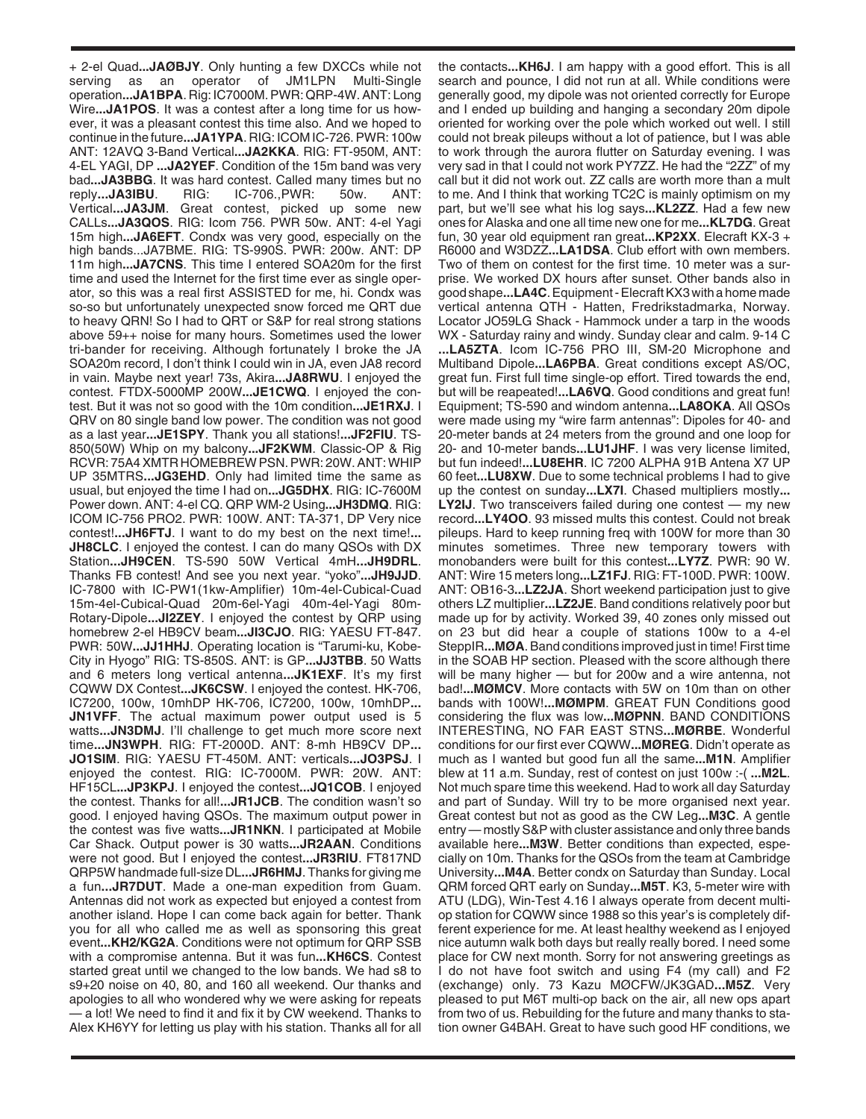+ 2-el Quad**...JAØBJY**. Only hunting a few DXCCs while not serving as an operator of JM1LPN Multi-Single operation**...JA1BPA**. Rig: IC7000M. PWR: QRP-4W. ANT: Long Wire**...JA1POS**. It was a contest after a long time for us however, it was a pleasant contest this time also. And we hoped to continue in the future**...JA1YPA**. RIG: ICOM IC-726. PWR: 100w ANT: 12AVQ 3-Band Vertical**...JA2KKA**. RIG: FT-950M, ANT: 4-EL YAGI, DP **...JA2YEF**. Condition of the 15m band was very bad**...JA3BBG**. It was hard contest. Called many times but no reply**...JA3IBU**. RIG: IC-706.,PWR: 50w. ANT: Vertical**...JA3JM**. Great contest, picked up some new CALLs**...JA3QOS**. RIG: Icom 756. PWR 50w. ANT: 4-el Yagi 15m high**...JA6EFT**. Condx was very good, especially on the high bands...JA7BME. RIG: TS-990S. PWR: 200w. ANT: DP 11m high**...JA7CNS**. This time I entered SOA20m for the first time and used the Internet for the first time ever as single operator, so this was a real first ASSISTED for me, hi. Condx was so-so but unfortunately unexpected snow forced me QRT due to heavy QRN! So I had to QRT or S&P for real strong stations above 59++ noise for many hours. Sometimes used the lower tri-bander for receiving. Although fortunately I broke the JA SOA20m record, I don't think I could win in JA, even JA8 record in vain. Maybe next year! 73s, Akira**...JA8RWU**. I enjoyed the contest. FTDX-5000MP 200W**...JE1CWQ**. I enjoyed the contest. But it was not so good with the 10m condition**...JE1RXJ**. I QRV on 80 single band low power. The condition was not good as a last year**...JE1SPY**. Thank you all stations!**...JF2FIU**. TS-850(50W) Whip on my balcony**...JF2KWM**. Classic-OP & Rig RCVR: 75A4 XMTR HOMEBREW PSN. PWR: 20W. ANT: WHIP UP 35MTRS**...JG3EHD**. Only had limited time the same as usual, but enjoyed the time I had on**...JG5DHX**. RIG: IC-7600M Power down. ANT: 4-el CQ. QRP WM-2 Using**...JH3DMQ**. RIG: ICOM IC-756 PRO2. PWR: 100W. ANT: TA-371, DP Very nice contest!**...JH6FTJ**. I want to do my best on the next time!**... JH8CLC**. I enjoyed the contest. I can do many QSOs with DX Station**...JH9CEN**. TS-590 50W Vertical 4mH**...JH9DRL**. Thanks FB contest! And see you next year. "yoko"**...JH9JJD**. IC-7800 with IC-PW1(1kw-Amplifier) 10m-4el-Cubical-Cuad 15m-4el-Cubical-Quad 20m-6el-Yagi 40m-4el-Yagi 80m-Rotary-Dipole**...JI2ZEY**. I enjoyed the contest by QRP using homebrew 2-el HB9CV beam**...JI3CJO**. RIG: YAESU FT-847. PWR: 50W**...JJ1HHJ**. Operating location is "Tarumi-ku, Kobe-City in Hyogo" RIG: TS-850S. ANT: is GP**...JJ3TBB**. 50 Watts and 6 meters long vertical antenna**...JK1EXF**. It's my first CQWW DX Contest**...JK6CSW**. I enjoyed the contest. HK-706, IC7200, 100w, 10mhDP HK-706, IC7200, 100w, 10mhDP**... JN1VFF**. The actual maximum power output used is 5 watts**...JN3DMJ**. I'll challenge to get much more score next time**...JN3WPH**. RIG: FT-2000D. ANT: 8-mh HB9CV DP**... JO1SIM**. RIG: YAESU FT-450M. ANT: verticals**...JO3PSJ**. I enjoyed the contest. RIG: IC-7000M. PWR: 20W. ANT: HF15CL**...JP3KPJ**. I enjoyed the contest**...JQ1COB**. I enjoyed the contest. Thanks for all!**...JR1JCB**. The condition wasn't so good. I enjoyed having QSOs. The maximum output power in the contest was five watts**...JR1NKN**. I participated at Mobile Car Shack. Output power is 30 watts**...JR2AAN**. Conditions were not good. But I enjoyed the contest**...JR3RIU**. FT817ND QRP5W handmade full-size DL**...JR6HMJ**. Thanks for giving me a fun**...JR7DUT**. Made a one-man expedition from Guam. Antennas did not work as expected but enjoyed a contest from another island. Hope I can come back again for better. Thank you for all who called me as well as sponsoring this great event**...KH2/KG2A**. Conditions were not optimum for QRP SSB with a compromise antenna. But it was fun**...KH6CS**. Contest started great until we changed to the low bands. We had s8 to s9+20 noise on 40, 80, and 160 all weekend. Our thanks and apologies to all who wondered why we were asking for repeats — a lot! We need to find it and fix it by CW weekend. Thanks to Alex KH6YY for letting us play with his station. Thanks all for all

the contacts**...KH6J**. I am happy with a good effort. This is all search and pounce, I did not run at all. While conditions were generally good, my dipole was not oriented correctly for Europe and I ended up building and hanging a secondary 20m dipole oriented for working over the pole which worked out well. I still could not break pileups without a lot of patience, but I was able to work through the aurora flutter on Saturday evening. I was very sad in that I could not work PY7ZZ. He had the "2ZZ" of my call but it did not work out. ZZ calls are worth more than a mult to me. And I think that working TC2C is mainly optimism on my part, but we'll see what his log says**...KL2ZZ**. Had a few new ones for Alaska and one all time new one for me**...KL7DG**. Great fun, 30 year old equipment ran great**...KP2XX**. Elecraft KX-3 + R6000 and W3DZZ**...LA1DSA**. Club effort with own members. Two of them on contest for the first time. 10 meter was a surprise. We worked DX hours after sunset. Other bands also in good shape**...LA4C**. Equipment - Elecraft KX3 with a home made vertical antenna QTH - Hatten, Fredrikstadmarka, Norway. Locator JO59LG Shack - Hammock under a tarp in the woods WX - Saturday rainy and windy. Sunday clear and calm. 9-14 C **...LA5ZTA**. Icom IC-756 PRO III, SM-20 Microphone and Multiband Dipole**...LA6PBA**. Great conditions except AS/OC, great fun. First full time single-op effort. Tired towards the end, but will be reapeated!**...LA6VQ**. Good conditions and great fun! Equipment; TS-590 and windom antenna**...LA8OKA**. All QSOs were made using my "wire farm antennas": Dipoles for 40- and 20-meter bands at 24 meters from the ground and one loop for 20- and 10-meter bands**...LU1JHF**. I was very license limited, but fun indeed!**...LU8EHR**. IC 7200 ALPHA 91B Antena X7 UP 60 feet**...LU8XW**. Due to some technical problems I had to give up the contest on sunday**...LX7I**. Chased multipliers mostly**... LY2IJ**. Two transceivers failed during one contest — my new record**...LY4OO**. 93 missed mults this contest. Could not break pileups. Hard to keep running freq with 100W for more than 30 minutes sometimes. Three new temporary towers with monobanders were built for this contest**...LY7Z**. PWR: 90 W. ANT: Wire 15 meters long**...LZ1FJ**. RIG: FT-100D. PWR: 100W. ANT: OB16-3**...LZ2JA**. Short weekend participation just to give others LZ multiplier**...LZ2JE**. Band conditions relatively poor but made up for by activity. Worked 39, 40 zones only missed out on 23 but did hear a couple of stations 100w to a 4-el SteppIR**...MØA**. Band conditions improved just in time! First time in the SOAB HP section. Pleased with the score although there will be many higher — but for 200w and a wire antenna, not bad!**...MØMCV**. More contacts with 5W on 10m than on other bands with 100W!**...MØMPM**. GREAT FUN Conditions good considering the flux was low**...MØPNN**. BAND CONDITIONS INTERESTING, NO FAR EAST STNS**...MØRBE**. Wonderful conditions for our first ever CQWW**...MØREG**. Didn't operate as much as I wanted but good fun all the same**...M1N**. Amplifier blew at 11 a.m. Sunday, rest of contest on just 100w :-( **...M2L**. Not much spare time this weekend. Had to work all day Saturday and part of Sunday. Will try to be more organised next year. Great contest but not as good as the CW Leg**...M3C**. A gentle entry — mostly S&P with cluster assistance and only three bands available here**...M3W**. Better conditions than expected, especially on 10m. Thanks for the QSOs from the team at Cambridge University**...M4A**. Better condx on Saturday than Sunday. Local QRM forced QRT early on Sunday**...M5T**. K3, 5-meter wire with ATU (LDG), Win-Test 4.16 I always operate from decent multiop station for CQWW since 1988 so this year's is completely different experience for me. At least healthy weekend as I enjoyed nice autumn walk both days but really really bored. I need some place for CW next month. Sorry for not answering greetings as I do not have foot switch and using F4 (my call) and F2 (exchange) only. 73 Kazu MØCFW/JK3GAD**...M5Z**. Very pleased to put M6T multi-op back on the air, all new ops apart from two of us. Rebuilding for the future and many thanks to station owner G4BAH. Great to have such good HF conditions, we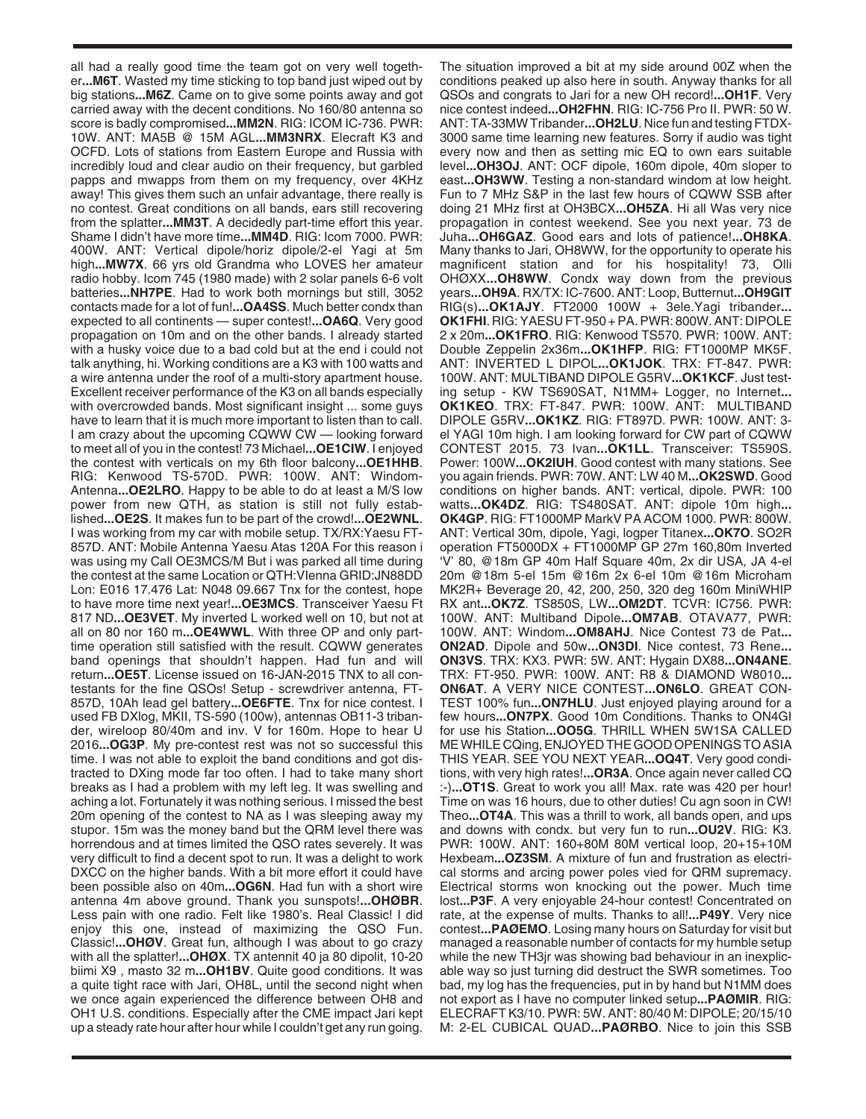all had a really good time the team got on very well together**...M6T**. Wasted my time sticking to top band just wiped out by big stations**...M6Z**. Came on to give some points away and got carried away with the decent conditions. No 160/80 antenna so score is badly compromised**...MM2N**. RIG: ICOM IC-736. PWR: 10W. ANT: MA5B @ 15M AGL**...MM3NRX**. Elecraft K3 and OCFD. Lots of stations from Eastern Europe and Russia with incredibly loud and clear audio on their frequency, but garbled papps and mwapps from them on my frequency, over 4KHz away! This gives them such an unfair advantage, there really is no contest. Great conditions on all bands, ears still recovering from the splatter**...MM3T**. A decidedly part-time effort this year. Shame I didn't have more time**...MM4D**. RIG: Icom 7000. PWR: 400W. ANT: Vertical dipole/horiz dipole/2-el Yagi at 5m high**...MW7X**. 66 yrs old Grandma who LOVES her amateur radio hobby. Icom 745 (1980 made) with 2 solar panels 6-6 volt batteries**...NH7PE**. Had to work both mornings but still, 3052 contacts made for a lot of fun!**...OA4SS**. Much better condx than expected to all continents — super contest!**...OA6Q**. Very good propagation on 10m and on the other bands. I already started with a husky voice due to a bad cold but at the end i could not talk anything, hi. Working conditions are a K3 with 100 watts and a wire antenna under the roof of a multi-story apartment house. Excellent receiver performance of the K3 on all bands especially with overcrowded bands. Most significant insight ... some guys have to learn that it is much more important to listen than to call. I am crazy about the upcoming CQWW CW — looking forward to meet all of you in the contest! 73 Michael**...OE1CIW**. I enjoyed the contest with verticals on my 6th floor balcony**...OE1HHB**. RIG: Kenwood TS-570D. PWR: 100W. ANT: Windom-Antenna**...OE2LRO**. Happy to be able to do at least a M/S low power from new QTH, as station is still not fully established**...OE2S**. It makes fun to be part of the crowd!**...OE2WNL**. I was working from my car with mobile setup. TX/RX:Yaesu FT-857D. ANT: Mobile Antenna Yaesu Atas 120A For this reason i was using my Call OE3MCS/M But i was parked all time during the contest at the same Location or QTH:VIenna GRID:JN88DD Lon: E016 17.476 Lat: N048 09.667 Tnx for the contest, hope to have more time next year!**...OE3MCS**. Transceiver Yaesu Ft 817 ND**...OE3VET**. My inverted L worked well on 10, but not at all on 80 nor 160 m**...OE4WWL**. With three OP and only parttime operation still satisfied with the result. CQWW generates band openings that shouldn't happen. Had fun and will return**...OE5T**. License issued on 16-JAN-2015 TNX to all contestants for the fine QSOs! Setup - screwdriver antenna, FT-857D, 10Ah lead gel battery**...OE6FTE**. Tnx for nice contest. I used FB DXlog, MKII, TS-590 (100w), antennas OB11-3 tribander, wireloop 80/40m and inv. V for 160m. Hope to hear U 2016**...OG3P**. My pre-contest rest was not so successful this time. I was not able to exploit the band conditions and got distracted to DXing mode far too often. I had to take many short breaks as I had a problem with my left leg. It was swelling and aching a lot. Fortunately it was nothing serious. I missed the best 20m opening of the contest to NA as I was sleeping away my stupor. 15m was the money band but the QRM level there was horrendous and at times limited the QSO rates severely. It was very difficult to find a decent spot to run. It was a delight to work DXCC on the higher bands. With a bit more effort it could have been possible also on 40m**...OG6N**. Had fun with a short wire antenna 4m above ground. Thank you sunspots!**...OHØBR**. Less pain with one radio. Felt like 1980's. Real Classic! I did enjoy this one, instead of maximizing the QSO Fun. Classic!**...OHØV**. Great fun, although I was about to go crazy with all the splatter!**...OHØX**. TX antennit 40 ja 80 dipolit, 10-20 biimi X9 , masto 32 m**...OH1BV**. Quite good conditions. It was a quite tight race with Jari, OH8L, until the second night when we once again experienced the difference between OH8 and OH1 U.S. conditions. Especially after the CME impact Jari kept up a steady rate hour after hour while I couldn't get any run going.

The situation improved a bit at my side around 00Z when the conditions peaked up also here in south. Anyway thanks for all QSOs and congrats to Jari for a new OH record!**...OH1F**. Very nice contest indeed**...OH2FHN**. RIG: IC-756 Pro II. PWR: 50 W. ANT: TA-33MW Tribander**...OH2LU**. Nice fun and testing FTDX-3000 same time learning new features. Sorry if audio was tight every now and then as setting mic EQ to own ears suitable level**...OH3OJ**. ANT: OCF dipole, 160m dipole, 40m sloper to east**...OH3WW**. Testing a non-standard windom at low height. Fun to 7 MHz S&P in the last few hours of CQWW SSB after doing 21 MHz first at OH3BCX**...OH5ZA**. Hi all Was very nice propagation in contest weekend. See you next year. 73 de Juha**...OH6GAZ**. Good ears and lots of patience!**...OH8KA**. Many thanks to Jari, OH8WW, for the opportunity to operate his magnificent station and for his hospitality! 73, Olli OHØXX**...OH8WW**. Condx way down from the previous years**...OH9A**. RX/TX: IC-7600. ANT: Loop, Butternut**...OH9GIT** RIG(s)**...OK1AJY**. FT2000 100W + 3ele.Yagi tribander**... OK1FHI**. RIG: YAESU FT-950 + PA. PWR: 800W. ANT: DIPOLE 2 x 20m**...OK1FRO**. RIG: Kenwood TS570. PWR: 100W. ANT: Double Zeppelin 2x36m**...OK1HFP**. RIG: FT1000MP MK5F. ANT: INVERTED L DIPOL**...OK1JOK**. TRX: FT-847. PWR: 100W. ANT: MULTIBAND DIPOLE G5RV**...OK1KCF**. Just testing setup - KW TS690SAT, N1MM+ Logger, no Internet**... OK1KEO**. TRX: FT-847. PWR: 100W. ANT: MULTIBAND DIPOLE G5RV**...OK1KZ**. RIG: FT897D. PWR: 100W. ANT: 3 el YAGI 10m high. I am looking forward for CW part of CQWW CONTEST 2015. 73 Ivan**...OK1LL**. Transceiver: TS590S. Power: 100W**...OK2IUH**. Good contest with many stations. See you again friends. PWR: 70W. ANT: LW 40 M**...OK2SWD**. Good conditions on higher bands. ANT: vertical, dipole. PWR: 100 watts**...OK4DZ**. RIG: TS480SAT. ANT: dipole 10m high**... OK4GP**. RIG: FT1000MP MarkV PA ACOM 1000. PWR: 800W. ANT: Vertical 30m, dipole, Yagi, logper Titanex**...OK7O**. SO2R operation FT5000DX + FT1000MP GP 27m 160,80m Inverted 'V' 80, @18m GP 40m Half Square 40m, 2x dir USA, JA 4-el 20m @18m 5-el 15m @16m 2x 6-el 10m @16m Microham MK2R+ Beverage 20, 42, 200, 250, 320 deg 160m MiniWHIP RX ant**...OK7Z**. TS850S, LW**...OM2DT**. TCVR: IC756. PWR: 100W. ANT: Multiband Dipole**...OM7AB**. OTAVA77, PWR: 100W. ANT: Windom**...OM8AHJ**. Nice Contest 73 de Pat**... ON2AD**. Dipole and 50w**...ON3DI**. Nice contest, 73 Rene**... ON3VS**. TRX: KX3. PWR: 5W. ANT: Hygain DX88**...ON4ANE**. TRX: FT-950. PWR: 100W. ANT: R8 & DIAMOND W8010**... ON6AT**. A VERY NICE CONTEST**...ON6LO**. GREAT CON-TEST 100% fun**...ON7HLU**. Just enjoyed playing around for a few hours**...ON7PX**. Good 10m Conditions. Thanks to ON4GI for use his Station**...OO5G**. THRILL WHEN 5W1SA CALLED ME WHILE CQing, ENJOYED THE GOOD OPENINGS TO ASIA THIS YEAR. SEE YOU NEXT YEAR**...OQ4T**. Very good conditions, with very high rates!**...OR3A**. Once again never called CQ :-)**...OT1S**. Great to work you all! Max. rate was 420 per hour! Time on was 16 hours, due to other duties! Cu agn soon in CW! Theo**...OT4A**. This was a thrill to work, all bands open, and ups and downs with condx. but very fun to run**...OU2V**. RIG: K3. PWR: 100W. ANT: 160+80M 80M vertical loop, 20+15+10M Hexbeam**...OZ3SM**. A mixture of fun and frustration as electrical storms and arcing power poles vied for QRM supremacy. Electrical storms won knocking out the power. Much time lost**...P3F**. A very enjoyable 24-hour contest! Concentrated on rate, at the expense of mults. Thanks to all!**...P49Y**. Very nice contest**...PAØEMO**. Losing many hours on Saturday for visit but managed a reasonable number of contacts for my humble setup while the new TH3jr was showing bad behaviour in an inexplicable way so just turning did destruct the SWR sometimes. Too bad, my log has the frequencies, put in by hand but N1MM does not export as I have no computer linked setup**...PAØMIR**. RIG: ELECRAFT K3/10. PWR: 5W. ANT: 80/40 M: DIPOLE; 20/15/10 M: 2-EL CUBICAL QUAD**...PAØRBO**. Nice to join this SSB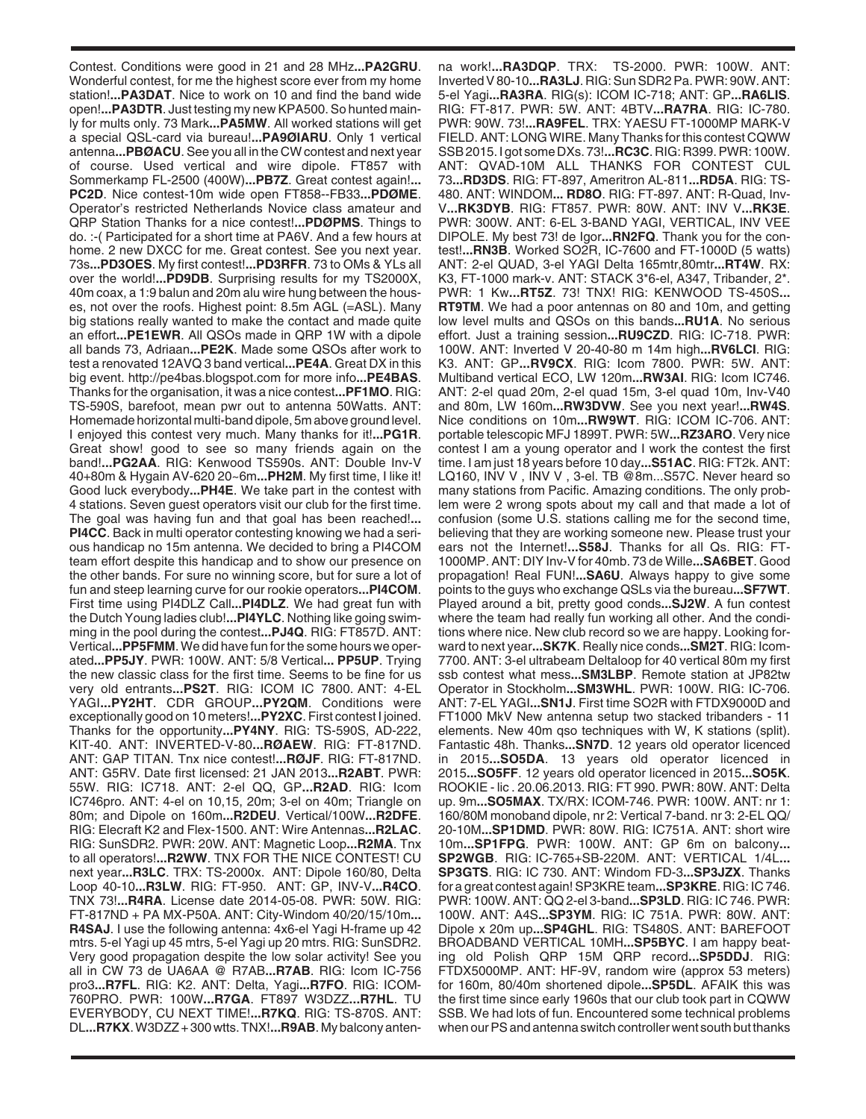Contest. Conditions were good in 21 and 28 MHz**...PA2GRU**. Wonderful contest, for me the highest score ever from my home station!**...PA3DAT**. Nice to work on 10 and find the band wide open!**...PA3DTR**. Just testing my new KPA500. So hunted mainly for mults only. 73 Mark**...PA5MW**. All worked stations will get a special QSL-card via bureau!**...PA9ØIARU**. Only 1 vertical antenna**...PBØACU**. See you all in the CW contest and next year of course. Used vertical and wire dipole. FT857 with Sommerkamp FL-2500 (400W)**...PB7Z**. Great contest again!**... PC2D**. Nice contest-10m wide open FT858--FB33**...PDØME**. Operator's restricted Netherlands Novice class amateur and QRP Station Thanks for a nice contest!**...PDØPMS**. Things to do. :-( Participated for a short time at PA6V. And a few hours at home. 2 new DXCC for me. Great contest. See you next year. 73s**...PD3OES**. My first contest!**...PD3RFR**. 73 to OMs & YLs all over the world!**...PD9DB**. Surprising results for my TS2000X, 40m coax, a 1:9 balun and 20m alu wire hung between the houses, not over the roofs. Highest point: 8.5m AGL (=ASL). Many big stations really wanted to make the contact and made quite an effort**...PE1EWR**. All QSOs made in QRP 1W with a dipole all bands 73, Adriaan**...PE2K**. Made some QSOs after work to test a renovated 12AVQ 3 band vertical**...PE4A**. Great DX in this big event. http://pe4bas.blogspot.com for more info**...PE4BAS**. Thanks for the organisation, it was a nice contest**...PF1MO**. RIG: TS-590S, barefoot, mean pwr out to antenna 50Watts. ANT: Homemade horizontal multi-band dipole, 5m above ground level. I enjoyed this contest very much. Many thanks for it!**...PG1R**. Great show! good to see so many friends again on the band!**...PG2AA**. RIG: Kenwood TS590s. ANT: Double Inv-V 40+80m & Hygain AV-620 20~6m**...PH2M**. My first time, I like it! Good luck everybody**...PH4E**. We take part in the contest with 4 stations. Seven guest operators visit our club for the first time. The goal was having fun and that goal has been reached!**... PI4CC**. Back in multi operator contesting knowing we had a serious handicap no 15m antenna. We decided to bring a PI4COM team effort despite this handicap and to show our presence on the other bands. For sure no winning score, but for sure a lot of fun and steep learning curve for our rookie operators**...PI4COM**. First time using PI4DLZ Call**...PI4DLZ**. We had great fun with the Dutch Young ladies club!**...PI4YLC**. Nothing like going swimming in the pool during the contest**...PJ4Q**. RIG: FT857D. ANT: Vertical**...PP5FMM**. We did have fun for the some hours we operated**...PP5JY**. PWR: 100W. ANT: 5/8 Vertical**... PP5UP**. Trying the new classic class for the first time. Seems to be fine for us very old entrants**...PS2T**. RIG: ICOM IC 7800. ANT: 4-EL YAGI**...PY2HT**. CDR GROUP**...PY2QM**. Conditions were exceptionally good on 10 meters!**...PY2XC**. First contest I joined. Thanks for the opportunity**...PY4NY**. RIG: TS-590S, AD-222, KIT-40. ANT: INVERTED-V-80**...RØAEW**. RIG: FT-817ND. ANT: GAP TITAN. Tnx nice contest!**...RØJF**. RIG: FT-817ND. ANT: G5RV. Date first licensed: 21 JAN 2013**...R2ABT**. PWR: 55W. RIG: IC718. ANT: 2-el QQ, GP**...R2AD**. RIG: Icom IC746pro. ANT: 4-el on 10,15, 20m; 3-el on 40m; Triangle on 80m; and Dipole on 160m**...R2DEU**. Vertical/100W**...R2DFE**. RIG: Elecraft K2 and Flex-1500. ANT: Wire Antennas**...R2LAC**. RIG: SunSDR2. PWR: 20W. ANT: Magnetic Loop**...R2MA**. Tnx to all operators!**...R2WW**. TNX FOR THE NICE CONTEST! CU next year**...R3LC**. TRX: TS-2000x. ANT: Dipole 160/80, Delta Loop 40-10**...R3LW**. RIG: FT-950. ANT: GP, INV-V**...R4CO**. TNX 73!**...R4RA**. License date 2014-05-08. PWR: 50W. RIG: FT-817ND + PA MX-P50A. ANT: City-Windom 40/20/15/10m**... R4SAJ**. I use the following antenna: 4x6-el Yagi H-frame up 42 mtrs. 5-el Yagi up 45 mtrs, 5-el Yagi up 20 mtrs. RIG: SunSDR2. Very good propagation despite the low solar activity! See you all in CW 73 de UA6AA @ R7AB**...R7AB**. RIG: Icom IC-756 pro3**...R7FL**. RIG: K2. ANT: Delta, Yagi**...R7FO**. RIG: ICOM-760PRO. PWR: 100W**...R7GA**. FT897 W3DZZ**...R7HL**. TU EVERYBODY, CU NEXT TIME!**...R7KQ**. RIG: TS-870S. ANT: DL**...R7KX**. W3DZZ + 300 wtts. TNX!**...R9AB**. My balcony anten-

na work!**...RA3DQP**. TRX: TS-2000. PWR: 100W. ANT: Inverted V 80-10**...RA3LJ**. RIG: Sun SDR2 Pa. PWR: 90W. ANT: 5-el Yagi**...RA3RA**. RIG(s): ICOM IC-718; ANT: GP**...RA6LIS**. RIG: FT-817. PWR: 5W. ANT: 4BTV**...RA7RA**. RIG: IC-780. PWR: 90W. 73!**...RA9FEL**. TRX: YAESU FT-1000MP MARK-V FIELD. ANT: LONG WIRE. Many Thanks for this contest CQWW SSB 2015. I got some DXs. 73!**...RC3C**. RIG: R399. PWR: 100W. ANT: QVAD-10M ALL THANKS FOR CONTEST CUL 73**...RD3DS**. RIG: FT-897, Ameritron AL-811**...RD5A**. RIG: TS-480. ANT: WINDOM**... RD8O**. RIG: FT-897. ANT: R-Quad, Inv-V**...RK3DYB**. RIG: FT857. PWR: 80W. ANT: INV V**...RK3E**. PWR: 300W. ANT: 6-EL 3-BAND YAGI, VERTICAL, INV VEE DIPOLE. My best 73! de Igor**...RN2FQ**. Thank you for the contest!**...RN3B**. Worked SO2R, IC-7600 and FT-1000D (5 watts) ANT: 2-el QUAD, 3-el YAGI Delta 165mtr,80mtr**...RT4W**. RX: K3, FT-1000 mark-v. ANT: STACK 3\*6-el, A347, Tribander, 2\*. PWR: 1 Kw**...RT5Z**. 73! TNX! RIG: KENWOOD TS-450S**... RT9TM**. We had a poor antennas on 80 and 10m, and getting low level mults and QSOs on this bands**...RU1A**. No serious effort. Just a training session**...RU9CZD**. RIG: IC-718. PWR: 100W. ANT: Inverted V 20-40-80 m 14m high**...RV6LCI**. RIG: K3. ANT: GP**...RV9CX**. RIG: Icom 7800. PWR: 5W. ANT: Multiband vertical ECO, LW 120m**...RW3AI**. RIG: Icom IC746. ANT: 2-el quad 20m, 2-el quad 15m, 3-el quad 10m, Inv-V40 and 80m, LW 160m**...RW3DVW**. See you next year!**...RW4S**. Nice conditions on 10m**...RW9WT**. RIG: ICOM IC-706. ANT: portable telescopic MFJ 1899T. PWR: 5W**...RZ3ARO**. Very nice contest I am a young operator and I work the contest the first time. I am just 18 years before 10 day**...S51AC**. RIG: FT2k. ANT: LQ160, INV V , INV V , 3-el. TB @8m...S57C. Never heard so many stations from Pacific. Amazing conditions. The only problem were 2 wrong spots about my call and that made a lot of confusion (some U.S. stations calling me for the second time, believing that they are working someone new. Please trust your ears not the Internet!**...S58J**. Thanks for all Qs. RIG: FT-1000MP. ANT: DIY Inv-V for 40mb. 73 de Wille**...SA6BET**. Good propagation! Real FUN!**...SA6U**. Always happy to give some points to the guys who exchange QSLs via the bureau**...SF7WT**. Played around a bit, pretty good conds**...SJ2W**. A fun contest where the team had really fun working all other. And the conditions where nice. New club record so we are happy. Looking forward to next year**...SK7K**. Really nice conds**...SM2T**. RIG: Icom-7700. ANT: 3-el ultrabeam Deltaloop for 40 vertical 80m my first ssb contest what mess**...SM3LBP**. Remote station at JP82tw Operator in Stockholm**...SM3WHL**. PWR: 100W. RIG: IC-706. ANT: 7-EL YAGI**...SN1J**. First time SO2R with FTDX9000D and FT1000 MkV New antenna setup two stacked tribanders - 11 elements. New 40m qso techniques with W, K stations (split). Fantastic 48h. Thanks**...SN7D**. 12 years old operator licenced in 2015**...SO5DA**. 13 years old operator licenced in 2015**...SO5FF**. 12 years old operator licenced in 2015**...SO5K**. ROOKIE - lic . 20.06.2013. RIG: FT 990. PWR: 80W. ANT: Delta up. 9m**...SO5MAX**. TX/RX: ICOM-746. PWR: 100W. ANT: nr 1: 160/80M monoband dipole, nr 2: Vertical 7-band. nr 3: 2-EL QQ/ 20-10M**...SP1DMD**. PWR: 80W. RIG: IC751A. ANT: short wire 10m**...SP1FPG**. PWR: 100W. ANT: GP 6m on balcony**... SP2WGB**. RIG: IC-765+SB-220M. ANT: VERTICAL 1/4L**... SP3GTS**. RIG: IC 730. ANT: Windom FD-3**...SP3JZX**. Thanks for a great contest again! SP3KRE team**...SP3KRE**. RIG: IC 746. PWR: 100W. ANT: QQ 2-el 3-band**...SP3LD**. RIG: IC 746. PWR: 100W. ANT: A4S**...SP3YM**. RIG: IC 751A. PWR: 80W. ANT: Dipole x 20m up**...SP4GHL**. RIG: TS480S. ANT: BAREFOOT BROADBAND VERTICAL 10MH**...SP5BYC**. I am happy beating old Polish QRP 15M QRP record**...SP5DDJ**. RIG: FTDX5000MP. ANT: HF-9V, random wire (approx 53 meters) for 160m, 80/40m shortened dipole**...SP5DL**. AFAIK this was the first time since early 1960s that our club took part in CQWW SSB. We had lots of fun. Encountered some technical problems when our PS and antenna switch controller went south but thanks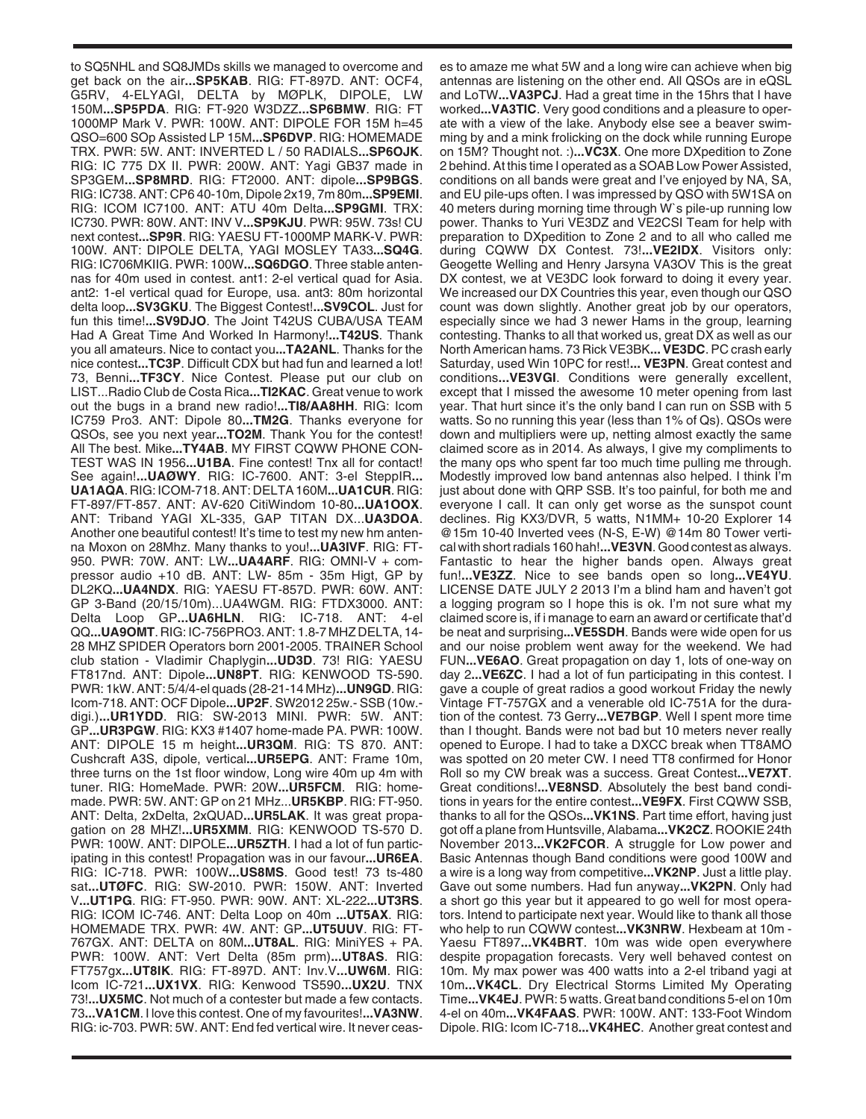to SQ5NHL and SQ8JMDs skills we managed to overcome and get back on the air**...SP5KAB**. RIG: FT-897D. ANT: OCF4, G5RV, 4-ELYAGI, DELTA by MØPLK, DIPOLE, LW 150M**...SP5PDA**. RIG: FT-920 W3DZZ**...SP6BMW**. RIG: FT 1000MP Mark V. PWR: 100W. ANT: DIPOLE FOR 15M h=45 QSO=600 SOp Assisted LP 15M**...SP6DVP**. RIG: HOMEMADE TRX. PWR: 5W. ANT: INVERTED L / 50 RADIALS**...SP6OJK**. RIG: IC 775 DX II. PWR: 200W. ANT: Yagi GB37 made in SP3GEM**...SP8MRD**. RIG: FT2000. ANT: dipole**...SP9BGS**. RIG: IC738. ANT: CP6 40-10m, Dipole 2x19, 7m 80m**...SP9EMI**. RIG: ICOM IC7100. ANT: ATU 40m Delta**...SP9GMI**. TRX: IC730. PWR: 80W. ANT: INV V**...SP9KJU**. PWR: 95W. 73s! CU next contest**...SP9R**. RIG: YAESU FT-1000MP MARK-V. PWR: 100W. ANT: DIPOLE DELTA, YAGI MOSLEY TA33**...SQ4G**. RIG: IC706MKIIG. PWR: 100W**...SQ6DGO**. Three stable antennas for 40m used in contest. ant1: 2-el vertical quad for Asia. ant2: 1-el vertical quad for Europe, usa. ant3: 80m horizontal delta loop**...SV3GKU**. The Biggest Contest!**...SV9COL**. Just for fun this time!**...SV9DJO**. The Joint T42US CUBA/USA TEAM Had A Great Time And Worked In Harmony!**...T42US**. Thank you all amateurs. Nice to contact you**...TA2ANL**. Thanks for the nice contest**...TC3P**. Difficult CDX but had fun and learned a lot! 73, Benni**...TF3CY**. Nice Contest. Please put our club on LIST...Radio Club de Costa Rica**...TI2KAC**. Great venue to work out the bugs in a brand new radio!**...TI8/AA8HH**. RIG: Icom IC759 Pro3. ANT: Dipole 80**...TM2G**. Thanks everyone for QSOs, see you next year**...TO2M**. Thank You for the contest! All The best. Mike**...TY4AB**. MY FIRST CQWW PHONE CON-TEST WAS IN 1956**...U1BA**. Fine contest! Tnx all for contact! See again!**...UAØWY**. RIG: IC-7600. ANT: 3-el SteppIR**... UA1AQA**. RIG: ICOM-718. ANT: DELTA 160M**...UA1CUR**. RIG: FT-897/FT-857. ANT: AV-620 CitiWindom 10-80**...UA1OOX**. ANT: Triband YAGI XL-335, GAP TITAN DX...**UA3DOA**. Another one beautiful contest! It's time to test my new hm antenna Moxon on 28Mhz. Many thanks to you!**...UA3IVF**. RIG: FT-950. PWR: 70W. ANT: LW**...UA4ARF**. RIG: OMNI-V + compressor audio +10 dB. ANT: LW- 85m - 35m Higt, GP by DL2KQ**...UA4NDX**. RIG: YAESU FT-857D. PWR: 60W. ANT: GP 3-Band (20/15/10m)...UA4WGM. RIG: FTDX3000. ANT: Delta Loop GP**...UA6HLN**. RIG: IC-718. ANT: 4-el QQ**...UA9OMT**. RIG: IC-756PRO3. ANT: 1.8-7 MHZ DELTA, 14- 28 MHZ SPIDER Operators born 2001-2005. TRAINER School club station - Vladimir Chaplygin**...UD3D**. 73! RIG: YAESU FT817nd. ANT: Dipole**...UN8PT**. RIG: KENWOOD TS-590. PWR: 1kW. ANT: 5/4/4-el quads (28-21-14 MHz)**...UN9GD**. RIG: Icom-718. ANT: OCF Dipole**...UP2F**. SW2012 25w.- SSB (10w. digi.)**...UR1YDD**. RIG: SW-2013 MINI. PWR: 5W. ANT: GP**...UR3PGW**. RIG: KX3 #1407 home-made PA. PWR: 100W. ANT: DIPOLE 15 m height**...UR3QM**. RIG: TS 870. ANT: Cushcraft A3S, dipole, vertical**...UR5EPG**. ANT: Frame 10m, three turns on the 1st floor window, Long wire 40m up 4m with tuner. RIG: HomeMade. PWR: 20W**...UR5FCM**. RIG: homemade. PWR: 5W. ANT: GP on 21 MHz...**UR5KBP**. RIG: FT-950. ANT: Delta, 2xDelta, 2xQUAD**...UR5LAK**. It was great propagation on 28 MHZ!**...UR5XMM**. RIG: KENWOOD TS-570 D. PWR: 100W. ANT: DIPOLE**...UR5ZTH**. I had a lot of fun participating in this contest! Propagation was in our favour**...UR6EA**. RIG: IC-718. PWR: 100W**...US8MS**. Good test! 73 ts-480 sat**...UTØFC**. RIG: SW-2010. PWR: 150W. ANT: Inverted V**...UT1PG**. RIG: FT-950. PWR: 90W. ANT: XL-222**...UT3RS**. RIG: ICOM IC-746. ANT: Delta Loop on 40m **...UT5AX**. RIG: HOMEMADE TRX. PWR: 4W. ANT: GP**...UT5UUV**. RIG: FT-767GX. ANT: DELTA on 80M**...UT8AL**. RIG: MiniYES + PA. PWR: 100W. ANT: Vert Delta (85m prm)**...UT8AS**. RIG: FT757gx**...UT8IK**. RIG: FT-897D. ANT: Inv.V**...UW6M**. RIG: Icom IC-721**...UX1VX**. RIG: Kenwood TS590**...UX2U**. TNX 73!**...UX5MC**. Not much of a contester but made a few contacts. 73**...VA1CM**. I love this contest. One of my favourites!**...VA3NW**. RIG: ic-703. PWR: 5W. ANT: End fed vertical wire. It never ceas-

es to amaze me what 5W and a long wire can achieve when big antennas are listening on the other end. All QSOs are in eQSL and LoTW**...VA3PCJ**. Had a great time in the 15hrs that I have worked**...VA3TIC**. Very good conditions and a pleasure to operate with a view of the lake. Anybody else see a beaver swimming by and a mink frolicking on the dock while running Europe on 15M? Thought not. :)**...VC3X**. One more DXpedition to Zone 2 behind. At this time I operated as a SOAB Low Power Assisted, conditions on all bands were great and I've enjoyed by NA, SA, and EU pile-ups often. I was impressed by QSO with 5W1SA on 40 meters during morning time through W`s pile-up running low power. Thanks to Yuri VE3DZ and VE2CSI Team for help with preparation to DXpedition to Zone 2 and to all who called me during CQWW DX Contest. 73!**...VE2IDX**. Visitors only: Geogette Welling and Henry Jarsyna VA3OV This is the great DX contest, we at VE3DC look forward to doing it every year. We increased our DX Countries this year, even though our QSO count was down slightly. Another great job by our operators, especially since we had 3 newer Hams in the group, learning contesting. Thanks to all that worked us, great DX as well as our North American hams. 73 Rick VE3BK**... VE3DC**. PC crash early Saturday, used Win 10PC for rest!**... VE3PN**. Great contest and conditions**...VE3VGI**. Conditions were generally excellent, except that I missed the awesome 10 meter opening from last year. That hurt since it's the only band I can run on SSB with 5 watts. So no running this year (less than 1% of Qs). QSOs were down and multipliers were up, netting almost exactly the same claimed score as in 2014. As always, I give my compliments to the many ops who spent far too much time pulling me through. Modestly improved low band antennas also helped. I think I'm just about done with QRP SSB. It's too painful, for both me and everyone I call. It can only get worse as the sunspot count declines. Rig KX3/DVR, 5 watts, N1MM+ 10-20 Explorer 14 @15m 10-40 Inverted vees (N-S, E-W) @14m 80 Tower vertical with short radials 160 hah!**...VE3VN**. Good contest as always. Fantastic to hear the higher bands open. Always great fun!**...VE3ZZ**. Nice to see bands open so long**...VE4YU**. LICENSE DATE JULY 2 2013 I'm a blind ham and haven't got a logging program so I hope this is ok. I'm not sure what my claimed score is, if i manage to earn an award or certificate that'd be neat and surprising**...VE5SDH**. Bands were wide open for us and our noise problem went away for the weekend. We had FUN**...VE6AO**. Great propagation on day 1, lots of one-way on day 2**...VE6ZC**. I had a lot of fun participating in this contest. I gave a couple of great radios a good workout Friday the newly Vintage FT-757GX and a venerable old IC-751A for the duration of the contest. 73 Gerry**...VE7BGP**. Well I spent more time than I thought. Bands were not bad but 10 meters never really opened to Europe. I had to take a DXCC break when TT8AMO was spotted on 20 meter CW. I need TT8 confirmed for Honor Roll so my CW break was a success. Great Contest**...VE7XT**. Great conditions!**...VE8NSD**. Absolutely the best band conditions in years for the entire contest**...VE9FX**. First CQWW SSB, thanks to all for the QSOs**...VK1NS**. Part time effort, having just got off a plane from Huntsville, Alabama**...VK2CZ**. ROOKIE 24th November 2013**...VK2FCOR**. A struggle for Low power and Basic Antennas though Band conditions were good 100W and a wire is a long way from competitive**...VK2NP**. Just a little play. Gave out some numbers. Had fun anyway**...VK2PN**. Only had a short go this year but it appeared to go well for most operators. Intend to participate next year. Would like to thank all those who help to run CQWW contest**...VK3NRW**. Hexbeam at 10m - Yaesu FT897**...VK4BRT**. 10m was wide open everywhere despite propagation forecasts. Very well behaved contest on 10m. My max power was 400 watts into a 2-el triband yagi at 10m**...VK4CL**. Dry Electrical Storms Limited My Operating Time**...VK4EJ**. PWR: 5 watts. Great band conditions 5-el on 10m 4-el on 40m**...VK4FAAS**. PWR: 100W. ANT: 133-Foot Windom Dipole. RIG: Icom IC-718**...VK4HEC**. Another great contest and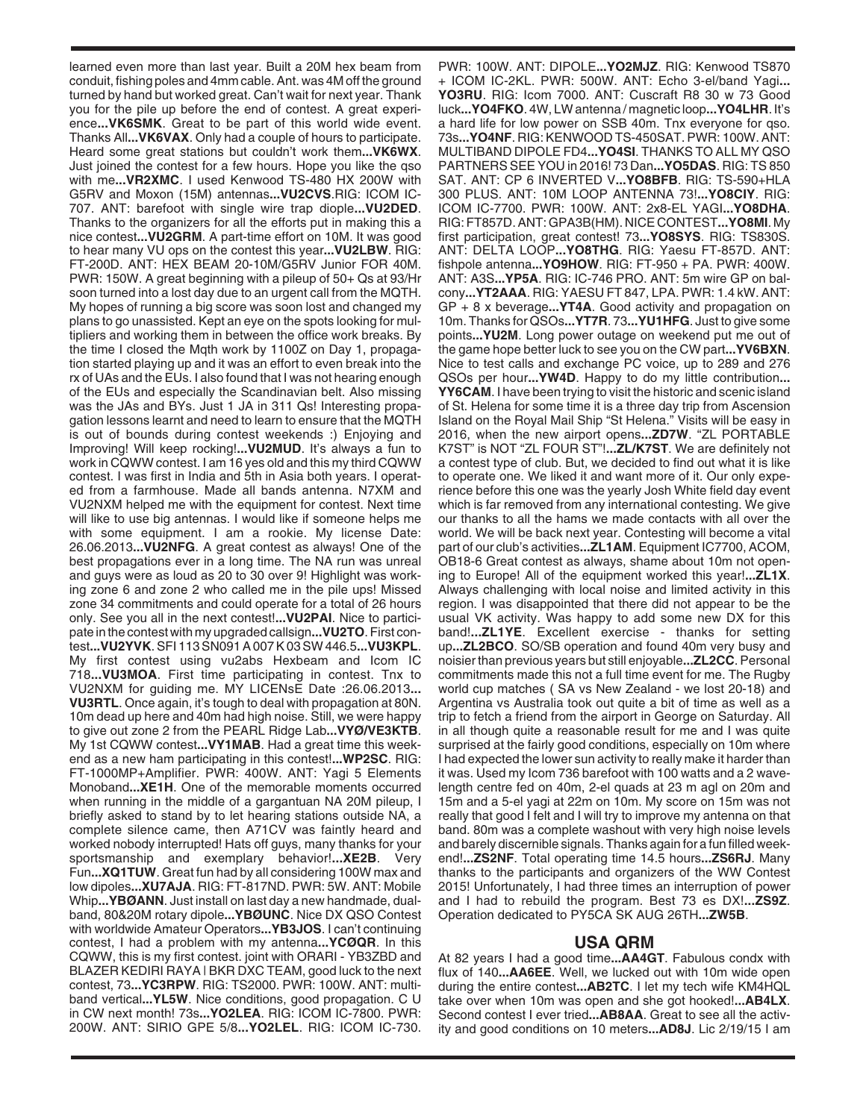learned even more than last year. Built a 20M hex beam from conduit, fishing poles and 4mm cable. Ant. was 4M off the ground turned by hand but worked great. Can't wait for next year. Thank you for the pile up before the end of contest. A great experience**...VK6SMK**. Great to be part of this world wide event. Thanks All**...VK6VAX**. Only had a couple of hours to participate. Heard some great stations but couldn't work them**...VK6WX**. Just joined the contest for a few hours. Hope you like the qso with me**...VR2XMC**. I used Kenwood TS-480 HX 200W with G5RV and Moxon (15M) antennas**...VU2CVS**.RIG: ICOM IC-707. ANT: barefoot with single wire trap diople**...VU2DED**. Thanks to the organizers for all the efforts put in making this a nice contest**...VU2GRM**. A part-time effort on 10M. It was good to hear many VU ops on the contest this year**...VU2LBW**. RIG: FT-200D. ANT: HEX BEAM 20-10M/G5RV Junior FOR 40M. PWR: 150W. A great beginning with a pileup of 50+ Qs at 93/Hr soon turned into a lost day due to an urgent call from the MQTH. My hopes of running a big score was soon lost and changed my plans to go unassisted. Kept an eye on the spots looking for multipliers and working them in between the office work breaks. By the time I closed the Mqth work by 1100Z on Day 1, propagation started playing up and it was an effort to even break into the rx of UAs and the EUs. I also found that I was not hearing enough of the EUs and especially the Scandinavian belt. Also missing was the JAs and BYs. Just 1 JA in 311 Qs! Interesting propagation lessons learnt and need to learn to ensure that the MQTH is out of bounds during contest weekends :) Enjoying and Improving! Will keep rocking!**...VU2MUD**. It's always a fun to work in CQWW contest. I am 16 yes old and this my third CQWW contest. I was first in India and 5th in Asia both years. I operated from a farmhouse. Made all bands antenna. N7XM and VU2NXM helped me with the equipment for contest. Next time will like to use big antennas. I would like if someone helps me with some equipment. I am a rookie. My license Date: 26.06.2013**...VU2NFG**. A great contest as always! One of the best propagations ever in a long time. The NA run was unreal and guys were as loud as 20 to 30 over 9! Highlight was working zone 6 and zone 2 who called me in the pile ups! Missed zone 34 commitments and could operate for a total of 26 hours only. See you all in the next contest!**...VU2PAI**. Nice to participate in the contest with my upgraded callsign**...VU2TO**. First contest**...VU2YVK**. SFI 113 SN091 A 007 K 03 SW 446.5**...VU3KPL**. My first contest using vu2abs Hexbeam and Icom IC 718**...VU3MOA**. First time participating in contest. Tnx to VU2NXM for guiding me. MY LICENsE Date :26.06.2013**... VU3RTL**. Once again, it's tough to deal with propagation at 80N. 10m dead up here and 40m had high noise. Still, we were happy to give out zone 2 from the PEARL Ridge Lab**...VYØ/VE3KTB**. My 1st CQWW contest**...VY1MAB**. Had a great time this weekend as a new ham participating in this contest!**...WP2SC**. RIG: FT-1000MP+Amplifier. PWR: 400W. ANT: Yagi 5 Elements Monoband**...XE1H**. One of the memorable moments occurred when running in the middle of a gargantuan NA 20M pileup, I briefly asked to stand by to let hearing stations outside NA, a complete silence came, then A71CV was faintly heard and worked nobody interrupted! Hats off guys, many thanks for your sportsmanship and exemplary behavior!**...XE2B**. Very Fun**...XQ1TUW**. Great fun had by all considering 100W max and low dipoles**...XU7AJA**. RIG: FT-817ND. PWR: 5W. ANT: Mobile Whip**...YBØANN**. Just install on last day a new handmade, dualband, 80&20M rotary dipole**...YBØUNC**. Nice DX QSO Contest with worldwide Amateur Operators**...YB3JOS**. I can't continuing contest, I had a problem with my antenna**...YCØQR**. In this CQWW, this is my first contest. joint with ORARI - YB3ZBD and BLAZER KEDIRI RAYA | BKR DXC TEAM, good luck to the next contest, 73**...YC3RPW**. RIG: TS2000. PWR: 100W. ANT: multiband vertical**...YL5W**. Nice conditions, good propagation. C U in CW next month! 73s**...YO2LEA**. RIG: ICOM IC-7800. PWR: 200W. ANT: SIRIO GPE 5/8**...YO2LEL**. RIG: ICOM IC-730.

PWR: 100W. ANT: DIPOLE**...YO2MJZ**. RIG: Kenwood TS870 + ICOM IC-2KL. PWR: 500W. ANT: Echo 3-el/band Yagi**... YO3RU**. RIG: Icom 7000. ANT: Cuscraft R8 30 w 73 Good luck**...YO4FKO**. 4W, LW antenna / magnetic loop**...YO4LHR**. It's a hard life for low power on SSB 40m. Tnx everyone for qso. 73s**...YO4NF**. RIG: KENWOOD TS-450SAT. PWR: 100W. ANT: MULTIBAND DIPOLE FD4**...YO4SI**. THANKS TO ALL MY QSO PARTNERS SEE YOU in 2016! 73 Dan**...YO5DAS**. RIG: TS 850 SAT. ANT: CP 6 INVERTED V**...YO8BFB**. RIG: TS-590+HLA 300 PLUS. ANT: 10M LOOP ANTENNA 73!**...YO8CIY**. RIG: ICOM IC-7700. PWR: 100W. ANT: 2x8-EL YAGI**...YO8DHA**. RIG: FT857D. ANT: GPA3B(HM). NICE CONTEST**...YO8MI**. My first participation, great contest! 73**...YO8SYS**. RIG: TS830S. ANT: DELTA LOOP**...YO8THG**. RIG: Yaesu FT-857D. ANT: fishpole antenna**...YO9HOW**. RIG: FT-950 + PA. PWR: 400W. ANT: A3S**...YP5A**. RIG: IC-746 PRO. ANT: 5m wire GP on balcony**...YT2AAA**. RIG: YAESU FT 847, LPA. PWR: 1.4 kW. ANT: GP + 8 x beverage**...YT4A**. Good activity and propagation on 10m. Thanks for QSOs**...YT7R**. 73**...YU1HFG**. Just to give some points**...YU2M**. Long power outage on weekend put me out of the game hope better luck to see you on the CW part**...YV6BXN**. Nice to test calls and exchange PC voice, up to 289 and 276 QSOs per hour**...YW4D**. Happy to do my little contribution**... YY6CAM**. I have been trying to visit the historic and scenic island of St. Helena for some time it is a three day trip from Ascension Island on the Royal Mail Ship "St Helena." Visits will be easy in 2016, when the new airport opens**...ZD7W**. "ZL PORTABLE K7ST" is NOT "ZL FOUR ST"!**...ZL/K7ST**. We are definitely not a contest type of club. But, we decided to find out what it is like to operate one. We liked it and want more of it. Our only experience before this one was the yearly Josh White field day event which is far removed from any international contesting. We give our thanks to all the hams we made contacts with all over the world. We will be back next year. Contesting will become a vital part of our club's activities**...ZL1AM**. Equipment IC7700, ACOM, OB18-6 Great contest as always, shame about 10m not opening to Europe! All of the equipment worked this year!**...ZL1X**. Always challenging with local noise and limited activity in this region. I was disappointed that there did not appear to be the usual VK activity. Was happy to add some new DX for this band!**...ZL1YE**. Excellent exercise - thanks for setting up**...ZL2BCO**. SO/SB operation and found 40m very busy and noisier than previous years but still enjoyable**...ZL2CC**. Personal commitments made this not a full time event for me. The Rugby world cup matches ( SA vs New Zealand - we lost 20-18) and Argentina vs Australia took out quite a bit of time as well as a trip to fetch a friend from the airport in George on Saturday. All in all though quite a reasonable result for me and I was quite surprised at the fairly good conditions, especially on 10m where I had expected the lower sun activity to really make it harder than it was. Used my Icom 736 barefoot with 100 watts and a 2 wavelength centre fed on 40m, 2-el quads at 23 m agl on 20m and 15m and a 5-el yagi at 22m on 10m. My score on 15m was not really that good I felt and I will try to improve my antenna on that band. 80m was a complete washout with very high noise levels and barely discernible signals. Thanks again for a fun filled weekend!**...ZS2NF**. Total operating time 14.5 hours**...ZS6RJ**. Many thanks to the participants and organizers of the WW Contest 2015! Unfortunately, I had three times an interruption of power and I had to rebuild the program. Best 73 es DX!**...ZS9Z**. Operation dedicated to PY5CA SK AUG 26TH**...ZW5B**.

## **USA QRM**

At 82 years I had a good time**...AA4GT**. Fabulous condx with flux of 140**...AA6EE**. Well, we lucked out with 10m wide open during the entire contest**...AB2TC**. I let my tech wife KM4HQL take over when 10m was open and she got hooked!**...AB4LX**. Second contest I ever tried**...AB8AA**. Great to see all the activity and good conditions on 10 meters**...AD8J**. Lic 2/19/15 I am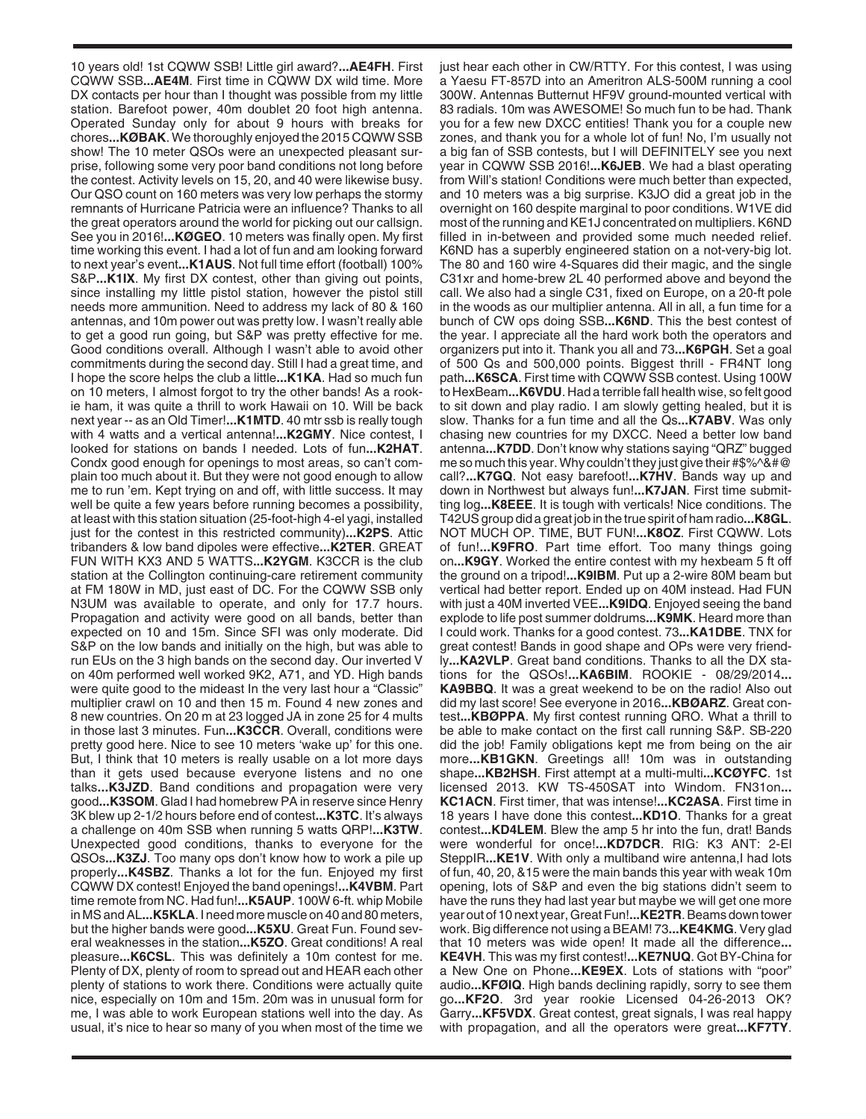10 years old! 1st CQWW SSB! Little girl award?**...AE4FH**. First CQWW SSB**...AE4M**. First time in CQWW DX wild time. More DX contacts per hour than I thought was possible from my little station. Barefoot power, 40m doublet 20 foot high antenna. Operated Sunday only for about 9 hours with breaks for chores**...KØBAK**. We thoroughly enjoyed the 2015 CQWW SSB show! The 10 meter QSOs were an unexpected pleasant surprise, following some very poor band conditions not long before the contest. Activity levels on 15, 20, and 40 were likewise busy. Our QSO count on 160 meters was very low perhaps the stormy remnants of Hurricane Patricia were an influence? Thanks to all the great operators around the world for picking out our callsign. See you in 2016!**...KØGEO**. 10 meters was finally open. My first time working this event. I had a lot of fun and am looking forward to next year's event**...K1AUS**. Not full time effort (football) 100% S&P**...K1IX**. My first DX contest, other than giving out points, since installing my little pistol station, however the pistol still needs more ammunition. Need to address my lack of 80 & 160 antennas, and 10m power out was pretty low. I wasn't really able to get a good run going, but S&P was pretty effective for me. Good conditions overall. Although I wasn't able to avoid other commitments during the second day. Still I had a great time, and I hope the score helps the club a little**...K1KA**. Had so much fun on 10 meters, I almost forgot to try the other bands! As a rookie ham, it was quite a thrill to work Hawaii on 10. Will be back next year -- as an Old Timer!**...K1MTD**. 40 mtr ssb is really tough with 4 watts and a vertical antenna!**...K2GMY**. Nice contest, I looked for stations on bands I needed. Lots of fun**...K2HAT**. Condx good enough for openings to most areas, so can't complain too much about it. But they were not good enough to allow me to run 'em. Kept trying on and off, with little success. It may well be quite a few years before running becomes a possibility, at least with this station situation (25-foot-high 4-el yagi, installed just for the contest in this restricted community)**...K2PS**. Attic tribanders & low band dipoles were effective**...K2TER**. GREAT FUN WITH KX3 AND 5 WATTS**...K2YGM**. K3CCR is the club station at the Collington continuing-care retirement community at FM 180W in MD, just east of DC. For the CQWW SSB only N3UM was available to operate, and only for 17.7 hours. Propagation and activity were good on all bands, better than expected on 10 and 15m. Since SFI was only moderate. Did S&P on the low bands and initially on the high, but was able to run EUs on the 3 high bands on the second day. Our inverted V on 40m performed well worked 9K2, A71, and YD. High bands were quite good to the mideast In the very last hour a "Classic" multiplier crawl on 10 and then 15 m. Found 4 new zones and 8 new countries. On 20 m at 23 logged JA in zone 25 for 4 mults in those last 3 minutes. Fun**...K3CCR**. Overall, conditions were pretty good here. Nice to see 10 meters 'wake up' for this one. But, I think that 10 meters is really usable on a lot more days than it gets used because everyone listens and no one talks**...K3JZD**. Band conditions and propagation were very good**...K3SOM**. Glad I had homebrew PA in reserve since Henry 3K blew up 2-1/2 hours before end of contest**...K3TC**. It's always a challenge on 40m SSB when running 5 watts QRP!**...K3TW**. Unexpected good conditions, thanks to everyone for the QSOs**...K3ZJ**. Too many ops don't know how to work a pile up properly**...K4SBZ**. Thanks a lot for the fun. Enjoyed my first CQWW DX contest! Enjoyed the band openings!**...K4VBM**. Part time remote from NC. Had fun!**...K5AUP**. 100W 6-ft. whip Mobile in MS and AL**...K5KLA**. I need more muscle on 40 and 80 meters, but the higher bands were good**...K5XU**. Great Fun. Found several weaknesses in the station**...K5ZO**. Great conditions! A real pleasure**...K6CSL**. This was definitely a 10m contest for me. Plenty of DX, plenty of room to spread out and HEAR each other plenty of stations to work there. Conditions were actually quite nice, especially on 10m and 15m. 20m was in unusual form for me, I was able to work European stations well into the day. As usual, it's nice to hear so many of you when most of the time we just hear each other in CW/RTTY. For this contest, I was using a Yaesu FT-857D into an Ameritron ALS-500M running a cool 300W. Antennas Butternut HF9V ground-mounted vertical with 83 radials. 10m was AWESOME! So much fun to be had. Thank you for a few new DXCC entities! Thank you for a couple new zones, and thank you for a whole lot of fun! No, I'm usually not a big fan of SSB contests, but I will DEFINITELY see you next year in CQWW SSB 2016!**...K6JEB**. We had a blast operating from Will's station! Conditions were much better than expected, and 10 meters was a big surprise. K3JO did a great job in the overnight on 160 despite marginal to poor conditions. W1VE did most of the running and KE1J concentrated on multipliers. K6ND filled in in-between and provided some much needed relief. K6ND has a superbly engineered station on a not-very-big lot. The 80 and 160 wire 4-Squares did their magic, and the single C31xr and home-brew 2L 40 performed above and beyond the call. We also had a single C31, fixed on Europe, on a 20-ft pole in the woods as our multiplier antenna. All in all, a fun time for a bunch of CW ops doing SSB**...K6ND**. This the best contest of the year. I appreciate all the hard work both the operators and organizers put into it. Thank you all and 73**...K6PGH**. Set a goal of 500 Qs and 500,000 points. Biggest thrill - FR4NT long path**...K6SCA**. First time with CQWW SSB contest. Using 100W to HexBeam**...K6VDU**. Had a terrible fall health wise, so felt good to sit down and play radio. I am slowly getting healed, but it is slow. Thanks for a fun time and all the Qs**...K7ABV**. Was only chasing new countries for my DXCC. Need a better low band antenna**...K7DD**. Don't know why stations saying "QRZ" bugged me so much this year. Why couldn't they just give their #\$%^&#@ call?**...K7GQ**. Not easy barefoot!**...K7HV**. Bands way up and down in Northwest but always fun!**...K7JAN**. First time submitting log**...K8EEE**. It is tough with verticals! Nice conditions. The T42US group did a great job in the true spirit of ham radio**...K8GL**. NOT MUCH OP. TIME, BUT FUN!**...K8OZ**. First CQWW. Lots of fun!**...K9FRO**. Part time effort. Too many things going on**...K9GY**. Worked the entire contest with my hexbeam 5 ft off the ground on a tripod!**...K9IBM**. Put up a 2-wire 80M beam but vertical had better report. Ended up on 40M instead. Had FUN with just a 40M inverted VEE**...K9IDQ**. Enjoyed seeing the band explode to life post summer doldrums**...K9MK**. Heard more than I could work. Thanks for a good contest. 73**...KA1DBE**. TNX for great contest! Bands in good shape and OPs were very friendly**...KA2VLP**. Great band conditions. Thanks to all the DX stations for the QSOs!**...KA6BIM**. ROOKIE - 08/29/2014**... KA9BBQ**. It was a great weekend to be on the radio! Also out did my last score! See everyone in 2016**...KBØARZ**. Great contest**...KBØPPA**. My first contest running QRO. What a thrill to be able to make contact on the first call running S&P. SB-220 did the job! Family obligations kept me from being on the air more**...KB1GKN**. Greetings all! 10m was in outstanding shape**...KB2HSH**. First attempt at a multi-multi**...KCØYFC**. 1st licensed 2013. KW TS-450SAT into Windom. FN31on**... KC1ACN**. First timer, that was intense!**...KC2ASA**. First time in 18 years I have done this contest**...KD1O**. Thanks for a great contest**...KD4LEM**. Blew the amp 5 hr into the fun, drat! Bands were wonderful for once!**...KD7DCR**. RIG: K3 ANT: 2-El SteppIR...KE1V. With only a multiband wire antenna, I had lots of fun, 40, 20, &15 were the main bands this year with weak 10m opening, lots of S&P and even the big stations didn't seem to have the runs they had last year but maybe we will get one more year out of 10 next year, Great Fun!**...KE2TR**. Beams down tower work. Big difference not using a BEAM! 73**...KE4KMG**. Very glad that 10 meters was wide open! It made all the difference**... KE4VH**. This was my first contest!**...KE7NUQ**. Got BY-China for a New One on Phone**...KE9EX**. Lots of stations with "poor" audio**...KFØIQ**. High bands declining rapidly, sorry to see them go**...KF2O**. 3rd year rookie Licensed 04-26-2013 OK? Garry**...KF5VDX**. Great contest, great signals, I was real happy with propagation, and all the operators were great**...KF7TY**.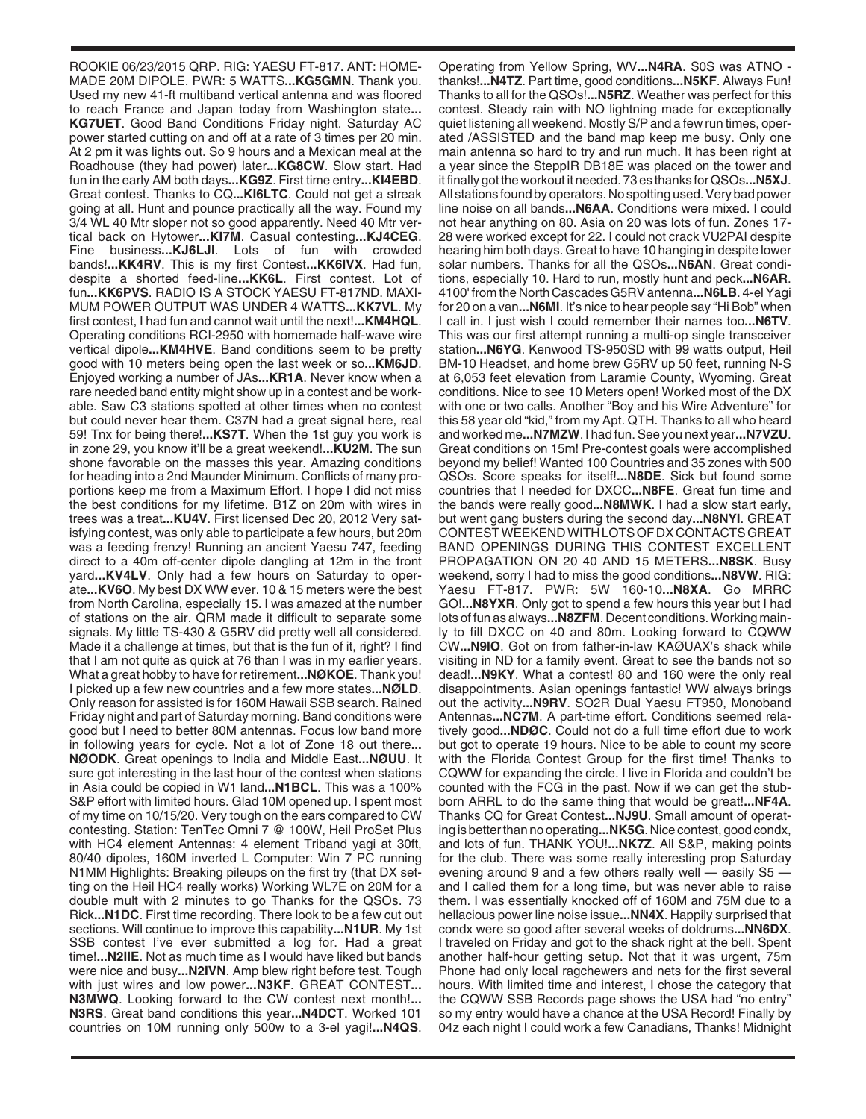ROOKIE 06/23/2015 QRP. RIG: YAESU FT-817. ANT: HOME-MADE 20M DIPOLE. PWR: 5 WATTS**...KG5GMN**. Thank you. Used my new 41-ft multiband vertical antenna and was floored to reach France and Japan today from Washington state**... KG7UET**. Good Band Conditions Friday night. Saturday AC power started cutting on and off at a rate of 3 times per 20 min. At 2 pm it was lights out. So 9 hours and a Mexican meal at the Roadhouse (they had power) later**...KG8CW**. Slow start. Had fun in the early AM both days**...KG9Z**. First time entry**...KI4EBD**. Great contest. Thanks to CQ**...KI6LTC**. Could not get a streak going at all. Hunt and pounce practically all the way. Found my 3/4 WL 40 Mtr sloper not so good apparently. Need 40 Mtr vertical back on Hytower**...KI7M**. Casual contesting**...KJ4CEG**. Fine business**...KJ6LJI**. Lots of fun with crowded bands!**...KK4RV**. This is my first Contest**...KK6IVX**. Had fun, despite a shorted feed-line**...KK6L**. First contest. Lot of fun**...KK6PVS**. RADIO IS A STOCK YAESU FT-817ND. MAXI-MUM POWER OUTPUT WAS UNDER 4 WATTS**...KK7VL**. My first contest, I had fun and cannot wait until the next!**...KM4HQL**. Operating conditions RCI-2950 with homemade half-wave wire vertical dipole**...KM4HVE**. Band conditions seem to be pretty good with 10 meters being open the last week or so**...KM6JD**. Enjoyed working a number of JAs**...KR1A**. Never know when a rare needed band entity might show up in a contest and be workable. Saw C3 stations spotted at other times when no contest but could never hear them. C37N had a great signal here, real 59! Tnx for being there!**...KS7T**. When the 1st guy you work is in zone 29, you know it'll be a great weekend!**...KU2M**. The sun shone favorable on the masses this year. Amazing conditions for heading into a 2nd Maunder Minimum. Conflicts of many proportions keep me from a Maximum Effort. I hope I did not miss the best conditions for my lifetime. B1Z on 20m with wires in trees was a treat**...KU4V**. First licensed Dec 20, 2012 Very satisfying contest, was only able to participate a few hours, but 20m was a feeding frenzy! Running an ancient Yaesu 747, feeding direct to a 40m off-center dipole dangling at 12m in the front yard**...KV4LV**. Only had a few hours on Saturday to operate**...KV6O**. My best DX WW ever. 10 & 15 meters were the best from North Carolina, especially 15. I was amazed at the number of stations on the air. QRM made it difficult to separate some signals. My little TS-430 & G5RV did pretty well all considered. Made it a challenge at times, but that is the fun of it, right? I find that I am not quite as quick at 76 than I was in my earlier years. What a great hobby to have for retirement**...NØKOE**. Thank you! I picked up a few new countries and a few more states**...NØLD**. Only reason for assisted is for 160M Hawaii SSB search. Rained Friday night and part of Saturday morning. Band conditions were good but I need to better 80M antennas. Focus low band more in following years for cycle. Not a lot of Zone 18 out there**... NØODK**. Great openings to India and Middle East**...NØUU**. It sure got interesting in the last hour of the contest when stations in Asia could be copied in W1 land**...N1BCL**. This was a 100% S&P effort with limited hours. Glad 10M opened up. I spent most of my time on 10/15/20. Very tough on the ears compared to CW contesting. Station: TenTec Omni 7 @ 100W, Heil ProSet Plus with HC4 element Antennas: 4 element Triband yagi at 30ft, 80/40 dipoles, 160M inverted L Computer: Win 7 PC running N1MM Highlights: Breaking pileups on the first try (that DX setting on the Heil HC4 really works) Working WL7E on 20M for a double mult with 2 minutes to go Thanks for the QSOs. 73 Rick**...N1DC**. First time recording. There look to be a few cut out sections. Will continue to improve this capability**...N1UR**. My 1st SSB contest I've ever submitted a log for. Had a great time!**...N2IIE**. Not as much time as I would have liked but bands were nice and busy**...N2IVN**. Amp blew right before test. Tough with just wires and low power**...N3KF**. GREAT CONTEST**... N3MWQ**. Looking forward to the CW contest next month!**... N3RS**. Great band conditions this year**...N4DCT**. Worked 101 countries on 10M running only 500w to a 3-el yagi!**...N4QS**.

Operating from Yellow Spring, WV**...N4RA**. S0S was ATNO thanks!**...N4TZ**. Part time, good conditions**...N5KF**. Always Fun! Thanks to all for the QSOs!**...N5RZ**. Weather was perfect for this contest. Steady rain with NO lightning made for exceptionally quiet listening all weekend. Mostly S/P and a few run times, operated /ASSISTED and the band map keep me busy. Only one main antenna so hard to try and run much. It has been right at a year since the SteppIR DB18E was placed on the tower and it finally got the workout it needed. 73 es thanks for QSOs**...N5XJ**. All stations found by operators. No spotting used. Very bad power line noise on all bands**...N6AA**. Conditions were mixed. I could not hear anything on 80. Asia on 20 was lots of fun. Zones 17- 28 were worked except for 22. I could not crack VU2PAI despite hearing him both days. Great to have 10 hanging in despite lower solar numbers. Thanks for all the QSOs**...N6AN**. Great conditions, especially 10. Hard to run, mostly hunt and peck**...N6AR**. 4100' from the North Cascades G5RV antenna**...N6LB**. 4-el Yagi for 20 on a van**...N6MI**. It's nice to hear people say "Hi Bob" when I call in. I just wish I could remember their names too**...N6TV**. This was our first attempt running a multi-op single transceiver station**...N6YG**. Kenwood TS-950SD with 99 watts output, Heil BM-10 Headset, and home brew G5RV up 50 feet, running N-S at 6,053 feet elevation from Laramie County, Wyoming. Great conditions. Nice to see 10 Meters open! Worked most of the DX with one or two calls. Another "Boy and his Wire Adventure" for this 58 year old "kid," from my Apt. QTH. Thanks to all who heard and worked me**...N7MZW**. I had fun. See you next year**...N7VZU**. Great conditions on 15m! Pre-contest goals were accomplished beyond my belief! Wanted 100 Countries and 35 zones with 500 QSOs. Score speaks for itself!**...N8DE**. Sick but found some countries that I needed for DXCC**...N8FE**. Great fun time and the bands were really good**...N8MWK**. I had a slow start early, but went gang busters during the second day**...N8NYI**. GREAT CONTEST WEEKEND WITH LOTS OF DX CONTACTS GREAT BAND OPENINGS DURING THIS CONTEST EXCELLENT PROPAGATION ON 20 40 AND 15 METERS**...N8SK**. Busy weekend, sorry I had to miss the good conditions**...N8VW**. RIG: Yaesu FT-817. PWR: 5W 160-10**...N8XA**. Go MRRC GO!**...N8YXR**. Only got to spend a few hours this year but I had lots of fun as always**...N8ZFM**. Decent conditions. Working mainly to fill DXCC on 40 and 80m. Looking forward to CQWW CW**...N9IO**. Got on from father-in-law KAØUAX's shack while visiting in ND for a family event. Great to see the bands not so dead!**...N9KY**. What a contest! 80 and 160 were the only real disappointments. Asian openings fantastic! WW always brings out the activity**...N9RV**. SO2R Dual Yaesu FT950, Monoband Antennas**...NC7M**. A part-time effort. Conditions seemed relatively good**...NDØC**. Could not do a full time effort due to work but got to operate 19 hours. Nice to be able to count my score with the Florida Contest Group for the first time! Thanks to CQWW for expanding the circle. I live in Florida and couldn't be counted with the FCG in the past. Now if we can get the stubborn ARRL to do the same thing that would be great!**...NF4A**. Thanks CQ for Great Contest**...NJ9U**. Small amount of operating is better than no operating**...NK5G**. Nice contest, good condx, and lots of fun. THANK YOU!**...NK7Z**. All S&P, making points for the club. There was some really interesting prop Saturday evening around 9 and a few others really well - easily S5 and I called them for a long time, but was never able to raise them. I was essentially knocked off of 160M and 75M due to a hellacious power line noise issue**...NN4X**. Happily surprised that condx were so good after several weeks of doldrums**...NN6DX**. I traveled on Friday and got to the shack right at the bell. Spent another half-hour getting setup. Not that it was urgent, 75m Phone had only local ragchewers and nets for the first several hours. With limited time and interest, I chose the category that the CQWW SSB Records page shows the USA had "no entry" so my entry would have a chance at the USA Record! Finally by 04z each night I could work a few Canadians, Thanks! Midnight